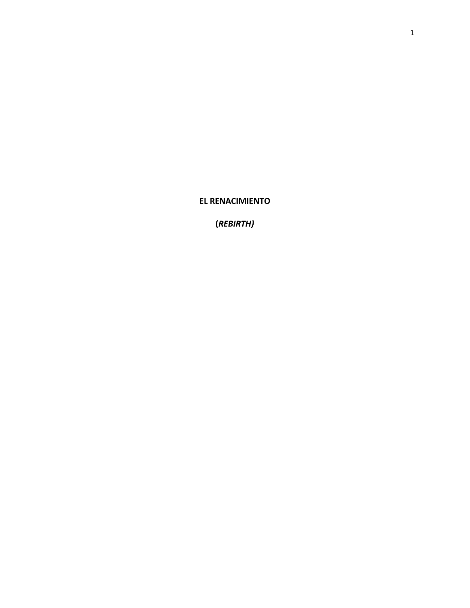**EL RENACIMIENTO**

**(***REBIRTH)*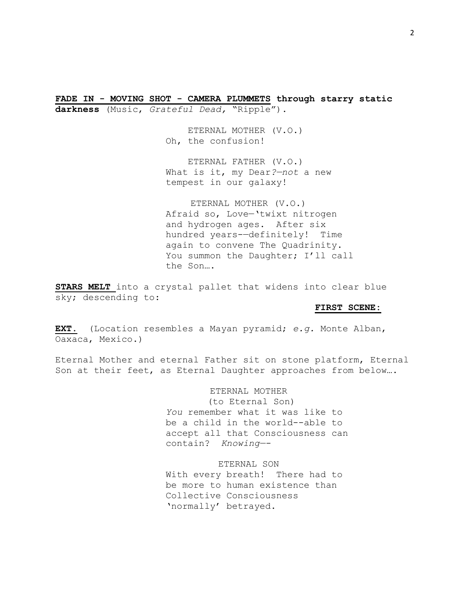**FADE IN - MOVING SHOT - CAMERA PLUMMETS through starry static darkness** (Music, *Grateful Dead,* "Ripple").

> ETERNAL MOTHER (V.O.) Oh, the confusion!

 ETERNAL FATHER (V.O.) What is it, my Dear*?—not* a new tempest in our galaxy!

ETERNAL MOTHER (V.O.) Afraid so, Love—'twixt nitrogen and hydrogen ages. After six hundred years-—definitely! Time again to convene The Quadrinity. You summon the Daughter; I'll call the Son….

**STARS MELT** into a crystal pallet that widens into clear blue sky; descending to:

# **FIRST SCENE:**

**EXT.** (Location resembles a Mayan pyramid; *e.g.* Monte Alban, Oaxaca, Mexico.)

Eternal Mother and eternal Father sit on stone platform, Eternal Son at their feet, as Eternal Daughter approaches from below….

> ETERNAL MOTHER (to Eternal Son) *You* remember what it was like to be a child in the world--able to accept all that Consciousness can contain? *Knowing—-*

ETERNAL SON With every breath! There had to be more to human existence than Collective Consciousness 'normally' betrayed.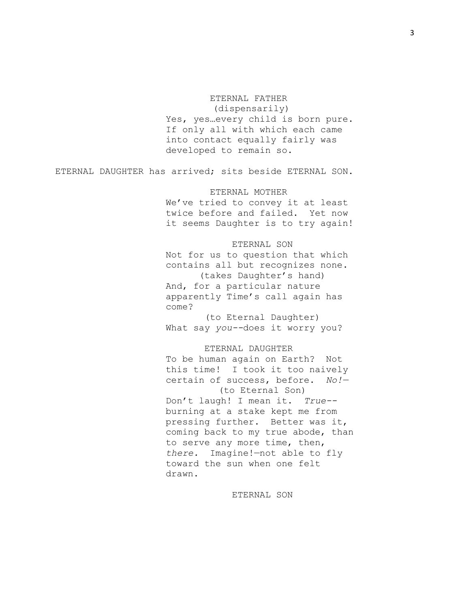# ETERNAL FATHER

(dispensarily) Yes, yes…every child is born pure. If only all with which each came into contact equally fairly was developed to remain so.

ETERNAL DAUGHTER has arrived; sits beside ETERNAL SON.

# ETERNAL MOTHER

We've tried to convey it at least twice before and failed. Yet now it seems Daughter is to try again!

#### ETERNAL SON

Not for us to question that which contains all but recognizes none. (takes Daughter's hand) And, for a particular nature apparently Time's call again has come?

(to Eternal Daughter) What say *you--*does it worry you?

### ETERNAL DAUGHTER

To be human again on Earth? Not this time! I took it too naively certain of success, before. *No!—* (to Eternal Son) Don't laugh! I mean it. *True-* burning at a stake kept me from pressing further. Better was it, coming back to my true abode, than to serve any more time, then, *there.* Imagine!—not able to fly toward the sun when one felt drawn.

ETERNAL SON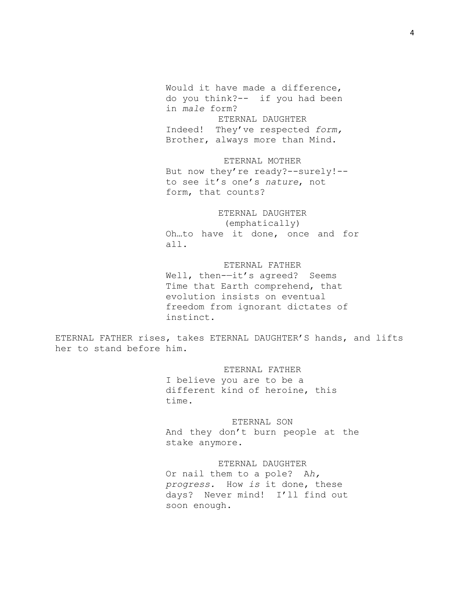Would it have made a difference, do you think?-- if you had been in *male* form? ETERNAL DAUGHTER Indeed! They've respected *form,*  Brother, always more than Mind.

# ETERNAL MOTHER But now they're ready?--surely!- to see it's one's *nature*, not form, that counts?

# ETERNAL DAUGHTER (emphatically)

Oh…to have it done, once and for all.

# ETERNAL FATHER

Well, then--it's agreed? Seems Time that Earth comprehend, that evolution insists on eventual freedom from ignorant dictates of instinct.

ETERNAL FATHER rises, takes ETERNAL DAUGHTER'S hands, and lifts her to stand before him.

# ETERNAL FATHER

I believe you are to be a different kind of heroine, this time.

# ETERNAL SON

And they don't burn people at the stake anymore.

## ETERNAL DAUGHTER

Or nail them to a pole? A*h, progress.* How *is* it done, these days? Never mind! I'll find out soon enough.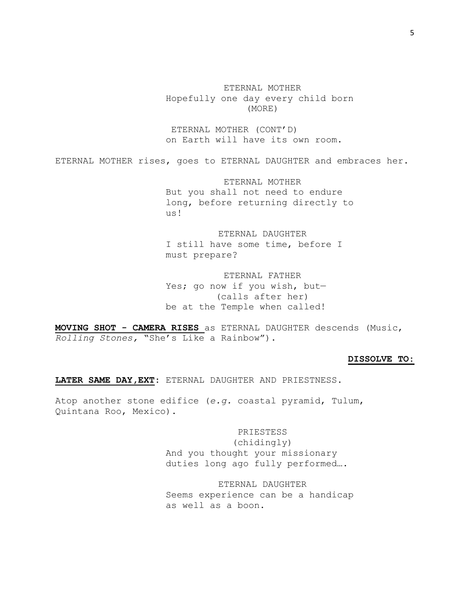ETERNAL MOTHER Hopefully one day every child born (MORE)

ETERNAL MOTHER (CONT'D) on Earth will have its own room.

ETERNAL MOTHER rises, goes to ETERNAL DAUGHTER and embraces her.

ETERNAL MOTHER But you shall not need to endure long, before returning directly to us!

ETERNAL DAUGHTER I still have some time, before I must prepare?

ETERNAL FATHER Yes; go now if you wish, but— (calls after her) be at the Temple when called!

**MOVING SHOT - CAMERA RISES** as ETERNAL DAUGHTER descends (Music, *Rolling Stones,* "She's Like a Rainbow").

### **DISSOLVE TO:**

**LATER SAME DAY,EXT:** ETERNAL DAUGHTER AND PRIESTNESS.

Atop another stone edifice (*e.g.* coastal pyramid, Tulum, Quintana Roo, Mexico).

> PRIESTESS (chidingly) And you thought your missionary duties long ago fully performed….

ETERNAL DAUGHTER Seems experience can be a handicap as well as a boon.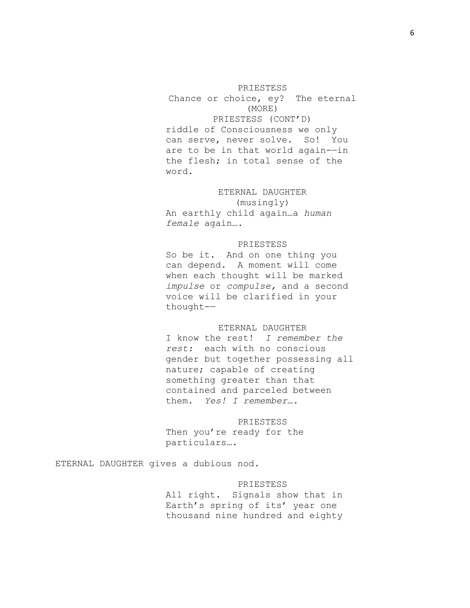#### PRIESTESS

Chance or choice, ey? The eternal (MORE) PRIESTESS (CONT'D) riddle of Consciousness we only can serve, never solve. So! You are to be in that world again-—in the flesh; in total sense of the word.

# ETERNAL DAUGHTER

(musingly) An earthly child again…a *human female* again….

### PRIESTESS

So be it. And on one thing you can depend. A moment will come when each thought will be marked *impulse* or *compulse,* and a second voice will be clarified in your thought-—

# ETERNAL DAUGHTER

I know the rest! *I remember the rest:* each with no conscious gender but together possessing all nature; capable of creating something greater than that contained and parceled between them. *Yes! I remember….*

PRIESTESS Then you're ready for the particulars….

ETERNAL DAUGHTER gives a dubious nod.

# PRIESTESS

All right. Signals show that in Earth's spring of its' year one thousand nine hundred and eighty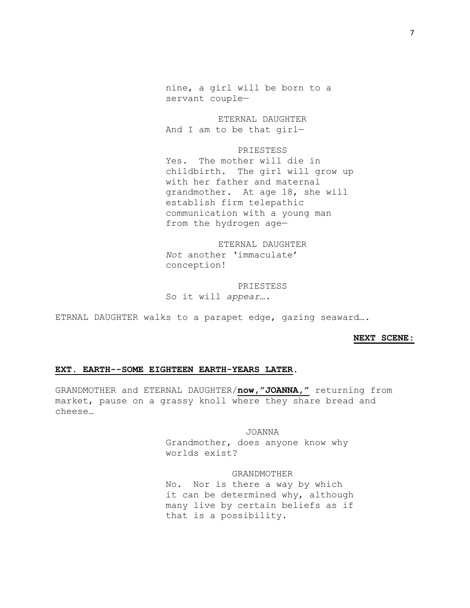nine, a girl will be born to a servant couple—

ETERNAL DAUGHTER And I am to be that girl—

**PRIESTESS** Yes. The mother will die in childbirth. The girl will grow up with her father and maternal grandmother. At age 18, she will establish firm telepathic communication with a young man from the hydrogen age—

ETERNAL DAUGHTER *Not* another 'immaculate' conception!

PRIESTESS So it will *appear….*

ETRNAL DAUGHTER walks to a parapet edge, gazing seaward….

#### **NEXT SCENE:**

### **EXT. EARTH--SOME EIGHTEEN EARTH-YEARS LATER.**

GRANDMOTHER and ETERNAL DAUGHTER/**now,"JOANNA,"** returning from market, pause on a grassy knoll where they share bread and cheese…

> JOANNA Grandmother, does anyone know why worlds exist?

GRANDMOTHER No. Nor is there a way by which it can be determined why, although many live by certain beliefs as if that is a possibility.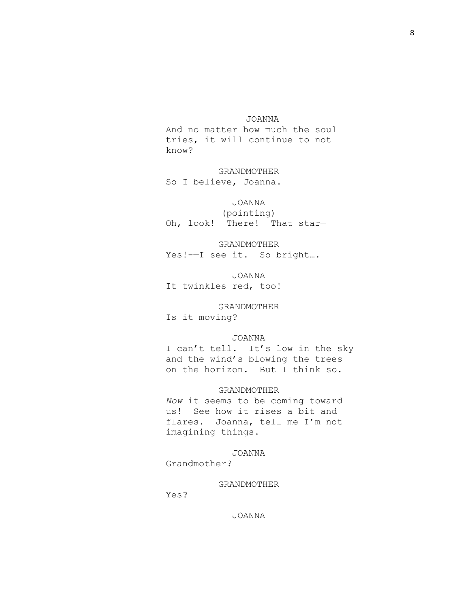### JOANNA

And no matter how much the soul tries, it will continue to not know?

GRANDMOTHER So I believe, Joanna.

# JOANNA

(pointing) Oh, look! There! That star—

GRANDMOTHER Yes!-—I see it. So bright….

JOANNA It twinkles red, too!

GRANDMOTHER Is it moving?

# JOANNA

I can't tell. It's low in the sky and the wind's blowing the trees on the horizon. But I think so.

### GRANDMOTHER

*Now* it seems to be coming toward us! See how it rises a bit and flares. Joanna, tell me I'm not imagining things.

# JOANNA

Grandmother?

#### GRANDMOTHER

Yes?

# JOANNA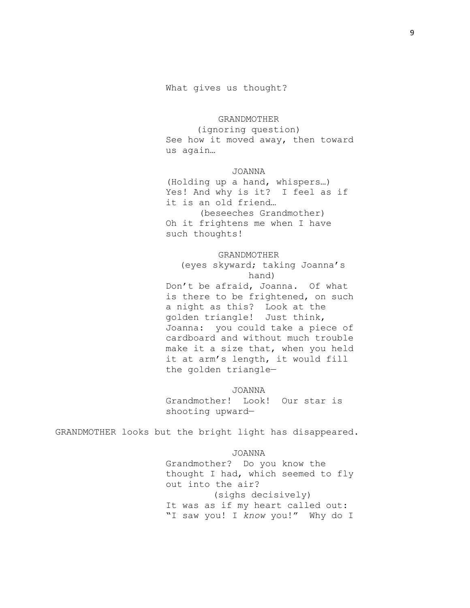### GRANDMOTHER

(ignoring question) See how it moved away, then toward us again…

# JOANNA

(Holding up a hand, whispers…) Yes! And why is it? I feel as if it is an old friend… (beseeches Grandmother) Oh it frightens me when I have such thoughts!

#### GRANDMOTHER

(eyes skyward; taking Joanna's hand) Don't be afraid, Joanna. Of what is there to be frightened, on such a night as this? Look at the golden triangle! Just think, Joanna: you could take a piece of cardboard and without much trouble make it a size that, when you held it at arm's length, it would fill the golden triangle—

JOANNA Grandmother! Look! Our star is shooting upward—

GRANDMOTHER looks but the bright light has disappeared.

### JOANNA

Grandmother? Do you know the thought I had, which seemed to fly out into the air? (sighs decisively) It was as if my heart called out: "I saw you! I *know* you!" Why do I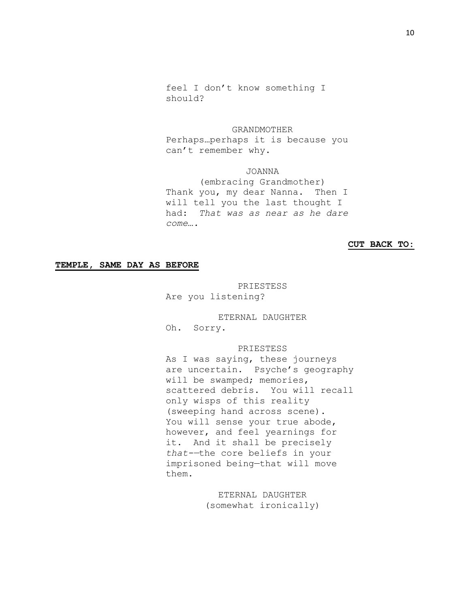feel I don't know something I should?

GRANDMOTHER

Perhaps…perhaps it is because you can't remember why.

# JOANNA

 (embracing Grandmother) Thank you, my dear Nanna. Then I will tell you the last thought I had: *That was as near as he dare come….*

### **CUT BACK TO:**

# **TEMPLE, SAME DAY AS BEFORE**

PRIESTESS Are you listening?

ETERNAL DAUGHTER Oh. Sorry.

# PRIESTESS

As I was saying, these journeys are uncertain. Psyche's geography will be swamped; memories, scattered debris. You will recall only wisps of this reality (sweeping hand across scene). You will sense your true abode, however, and feel yearnings for it. And it shall be precisely *that-—*the core beliefs in your imprisoned being—that will move them.

> ETERNAL DAUGHTER (somewhat ironically)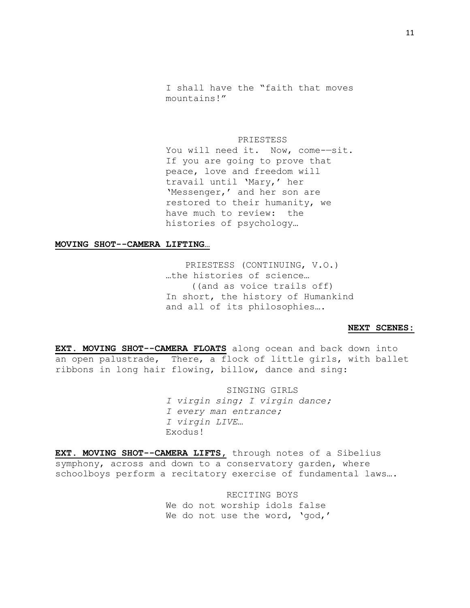I shall have the "faith that moves mountains!"

PRIESTESS You will need it. Now, come--sit. If you are going to prove that peace, love and freedom will travail until 'Mary,' her 'Messenger,' and her son are restored to their humanity, we have much to review: the histories of psychology…

#### **MOVING SHOT--CAMERA LIFTING…**

PRIESTESS (CONTINUING, V.O.) …the histories of science… ((and as voice trails off) In short, the history of Humankind and all of its philosophies….

#### **NEXT SCENES:**

**EXT. MOVING SHOT--CAMERA FLOATS** along ocean and back down into an open palustrade, There, a flock of little girls, with ballet ribbons in long hair flowing, billow, dance and sing:

> SINGING GIRLS *I virgin sing; I virgin dance; I every man entrance; I virgin LIVE…* Exodus!

**EXT. MOVING SHOT--CAMERA LIFTS,** through notes of a Sibelius symphony, across and down to a conservatory garden, where schoolboys perform a recitatory exercise of fundamental laws….

> RECITING BOYS We do not worship idols false We do not use the word, 'god,'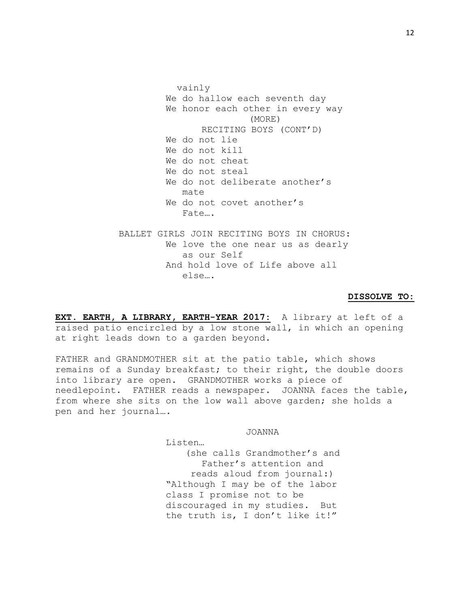vainly We do hallow each seventh day We honor each other in every way (MORE) RECITING BOYS (CONT'D) We do not lie We do not kill We do not cheat We do not steal We do not deliberate another's mate We do not covet another's Fate…. BALLET GIRLS JOIN RECITING BOYS IN CHORUS: We love the one near us as dearly as our Self And hold love of Life above all else….

# **DISSOLVE TO:**

**EXT. EARTH, A LIBRARY, EARTH-YEAR 2017:** A library at left of a raised patio encircled by a low stone wall, in which an opening at right leads down to a garden beyond.

FATHER and GRANDMOTHER sit at the patio table, which shows remains of a Sunday breakfast; to their right, the double doors into library are open. GRANDMOTHER works a piece of needlepoint. FATHER reads a newspaper. JOANNA faces the table, from where she sits on the low wall above garden; she holds a pen and her journal….

JOANNA

Listen…

(she calls Grandmother's and Father's attention and reads aloud from journal:) "Although I may be of the labor class I promise not to be discouraged in my studies. But the truth is, I don't like it!"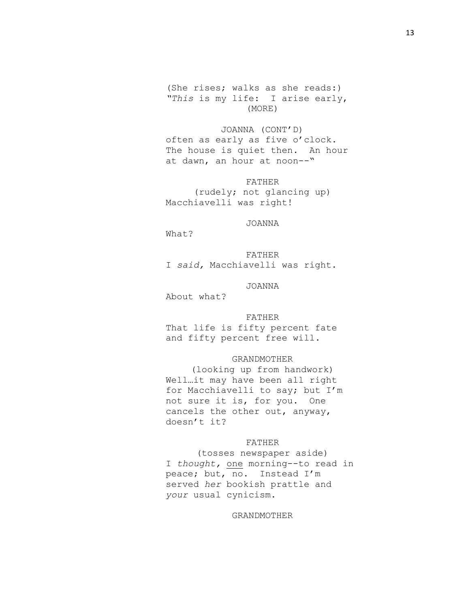(She rises; walks as she reads:) *"This* is my life: I arise early, (MORE)

JOANNA (CONT'D) often as early as five o'clock. The house is quiet then. An hour at dawn, an hour at noon--"

FATHER (rudely; not glancing up) Macchiavelli was right!

#### JOANNA

What?

FATHER I *said,* Macchiavelli was right.

#### JOANNA

About what?

#### FATHER

That life is fifty percent fate and fifty percent free will.

# GRANDMOTHER

(looking up from handwork) Well…it may have been all right for Macchiavelli to say; but I'm not sure it is, for you. One cancels the other out, anyway, doesn't it?

#### FATHER

(tosses newspaper aside) I *thought,* one morning--to read in peace; but, no. Instead I'm served *her* bookish prattle and *your* usual cynicism.

# GRANDMOTHER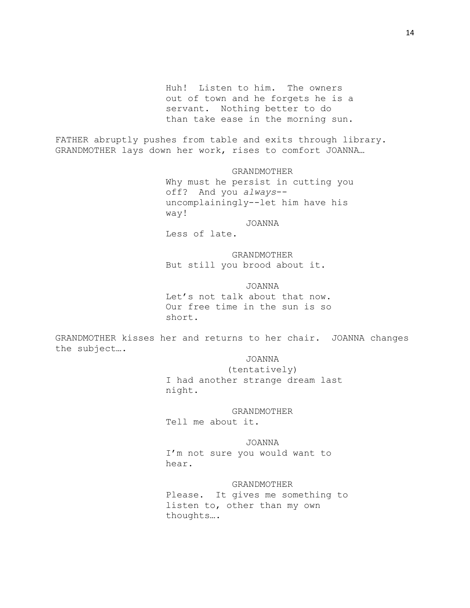Huh! Listen to him. The owners out of town and he forgets he is a servant. Nothing better to do than take ease in the morning sun.

FATHER abruptly pushes from table and exits through library. GRANDMOTHER lays down her work, rises to comfort JOANNA…

> GRANDMOTHER Why must he persist in cutting you off? And you *always*- uncomplainingly--let him have his way!

> > JOANNA

Less of late.

GRANDMOTHER But still you brood about it.

JOANNA Let's not talk about that now. Our free time in the sun is so short.

GRANDMOTHER kisses her and returns to her chair. JOANNA changes the subject….

JOANNA

(tentatively) I had another strange dream last night.

# GRANDMOTHER

Tell me about it.

JOANNA I'm not sure you would want to hear.

# GRANDMOTHER

Please. It gives me something to listen to, other than my own thoughts….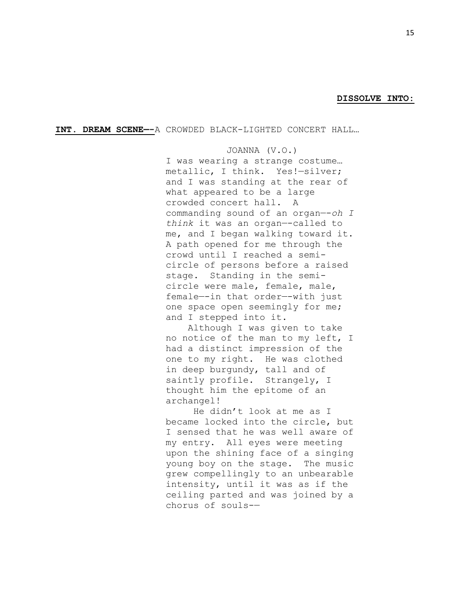### **DISSOLVE INTO:**

**INT. DREAM SCENE—-**A CROWDED BLACK-LIGHTED CONCERT HALL…

JOANNA (V.O.) I was wearing a strange costume… metallic, I think. Yes!—silver; and I was standing at the rear of what appeared to be a large crowded concert hall. A commanding sound of an organ—-*oh I think* it was an organ—-called to me, and I began walking toward it. A path opened for me through the crowd until I reached a semicircle of persons before a raised stage. Standing in the semicircle were male, female, male, female—-in that order—-with just one space open seemingly for me; and I stepped into it.

 Although I was given to take no notice of the man to my left, I had a distinct impression of the one to my right. He was clothed in deep burgundy, tall and of saintly profile. Strangely, I thought him the epitome of an archangel!

 He didn't look at me as I became locked into the circle, but I sensed that he was well aware of my entry. All eyes were meeting upon the shining face of a singing young boy on the stage. The music grew compellingly to an unbearable intensity, until it was as if the ceiling parted and was joined by a chorus of souls-—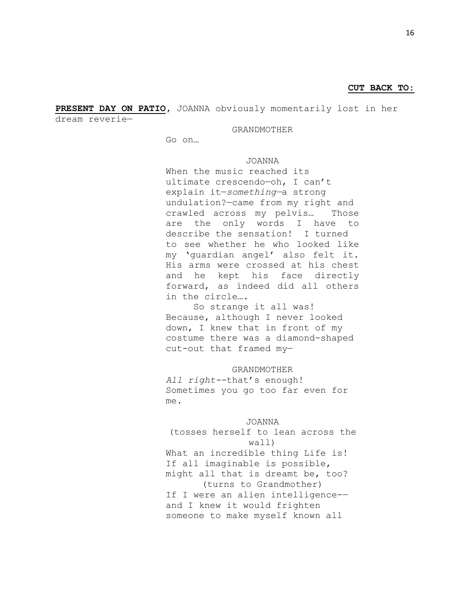# **CUT BACK TO:**

**PRESENT DAY ON PATIO,** JOANNA obviously momentarily lost in her dream reverie—

#### GRANDMOTHER

Go on…

### JOANNA

When the music reached its ultimate crescendo—oh, I can't explain it—*something—*a strong undulation?—came from my right and crawled across my pelvis… Those are the only words I have to describe the sensation! I turned to see whether he who looked like my 'guardian angel' also felt it. His arms were crossed at his chest and he kept his face directly forward, as indeed did all others in the circle….

 So strange it all was! Because, although I never looked down, I knew that in front of my costume there was a diamond-shaped cut-out that framed my—

### GRANDMOTHER

*All right--*that's enough! Sometimes you go too far even for me.

# JOANNA

# (tosses herself to lean across the wall)

What an incredible thing Life is! If all imaginable is possible, might all that is dreamt be, too? (turns to Grandmother) If I were an alien intelligence- and I knew it would frighten someone to make myself known all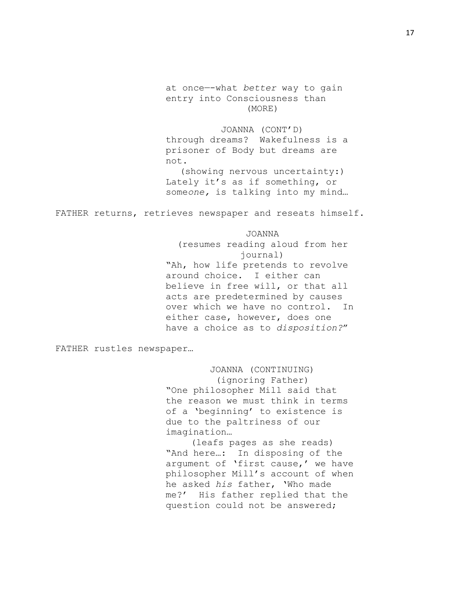at once—-what *better* way to gain entry into Consciousness than (MORE)

JOANNA (CONT'D) through dreams? Wakefulness is a prisoner of Body but dreams are not. (showing nervous uncertainty:)

Lately it's as if something, or some*one,* is talking into my mind…

FATHER returns, retrieves newspaper and reseats himself.

#### JOANNA

(resumes reading aloud from her journal) "Ah, how life pretends to revolve around choice. I either can believe in free will, or that all acts are predetermined by causes over which we have no control. In either case, however, does one have a choice as to *disposition?*"

FATHER rustles newspaper…

JOANNA (CONTINUING) (ignoring Father) "One philosopher Mill said that the reason we must think in terms of a 'beginning' to existence is due to the paltriness of our imagination…

(leafs pages as she reads) "And here…: In disposing of the argument of 'first cause,' we have philosopher Mill's account of when he asked *his* father, 'Who made me?' His father replied that the question could not be answered;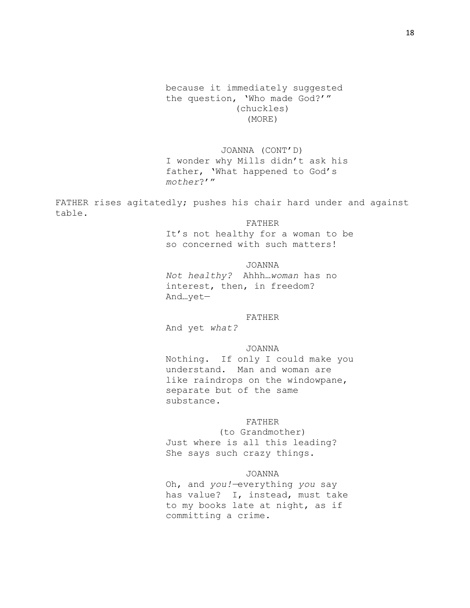# because it immediately suggested the question, 'Who made God?'" (chuckles) (MORE)

JOANNA (CONT'D) I wonder why Mills didn't ask his father, 'What happened to God's *mother*?'"

FATHER rises agitatedly; pushes his chair hard under and against table.

### FATHER

It's not healthy for a woman to be so concerned with such matters!

#### JOANNA

*Not healthy?* Ahhh…*woman* has no interest, then, in freedom? And…yet—

#### FATHER

And yet *what?*

### JOANNA

Nothing. If only I could make you understand. Man and woman are like raindrops on the windowpane, separate but of the same substance.

## FATHER

(to Grandmother) Just where is all this leading? She says such crazy things.

### JOANNA

Oh, and *you!—*everything *you* say has value? I, instead, must take to my books late at night, as if committing a crime.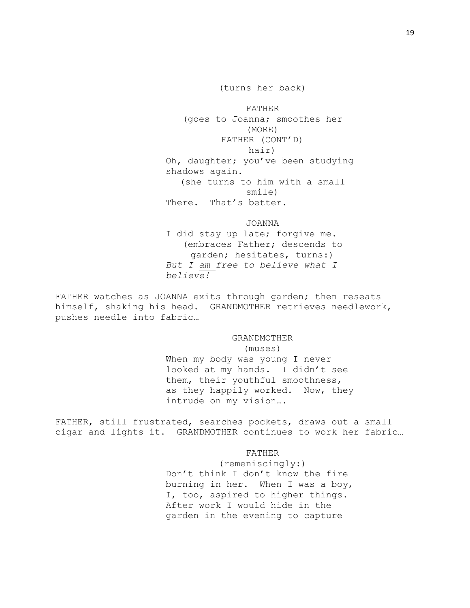(turns her back)

FATHER (goes to Joanna; smoothes her (MORE) FATHER (CONT'D) hair) Oh, daughter; you've been studying shadows again. (she turns to him with a small smile) There. That's better.

JOANNA

I did stay up late; forgive me. (embraces Father; descends to garden; hesitates, turns:) *But I am free to believe what I believe!*

FATHER watches as JOANNA exits through garden; then reseats himself, shaking his head. GRANDMOTHER retrieves needlework, pushes needle into fabric…

> GRANDMOTHER (muses) When my body was young I never looked at my hands. I didn't see them, their youthful smoothness,

as they happily worked. Now, they intrude on my vision….

FATHER, still frustrated, searches pockets, draws out a small cigar and lights it. GRANDMOTHER continues to work her fabric…

FATHER

(remeniscingly:) Don't think I don't know the fire burning in her. When I was a boy, I, too, aspired to higher things. After work I would hide in the garden in the evening to capture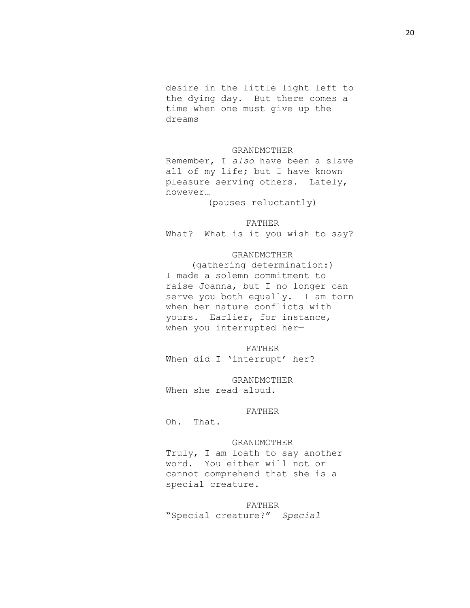desire in the little light left to the dying day. But there comes a time when one must give up the dreams—

## GRANDMOTHER

Remember, I *also* have been a slave all of my life; but I have known pleasure serving others. Lately, however…

(pauses reluctantly)

# FATHER

What? What is it you wish to say?

# GRANDMOTHER

(gathering determination:) I made a solemn commitment to raise Joanna, but I no longer can serve you both equally. I am torn when her nature conflicts with yours. Earlier, for instance, when you interrupted her—

FATHER When did I 'interrupt' her?

GRANDMOTHER When she read aloud.

#### FATHER

Oh. That.

#### GRANDMOTHER

Truly, I am loath to say another word. You either will not or cannot comprehend that she is a special creature.

FATHER

"Special creature?" *Special*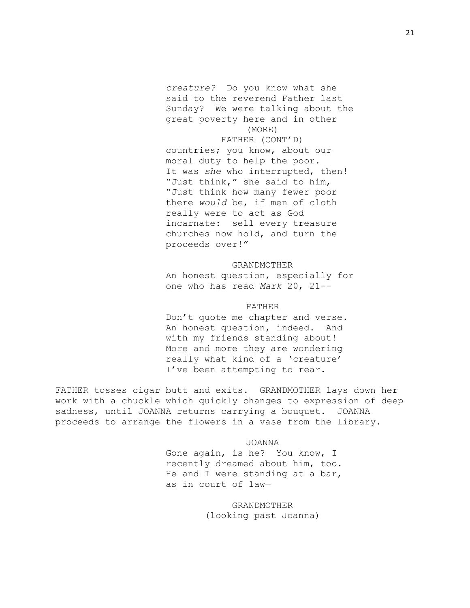*creature?* Do you know what she said to the reverend Father last Sunday? We were talking about the great poverty here and in other (MORE)

FATHER (CONT'D) countries; you know, about our moral duty to help the poor. It was *she* who interrupted, then! "Just think," she said to him, "Just think how many fewer poor there *would* be, if men of cloth really were to act as God incarnate: sell every treasure churches now hold, and turn the proceeds over!"

#### GRANDMOTHER

An honest question, especially for one who has read *Mark* 20, 21--

# FATHER

Don't quote me chapter and verse. An honest question, indeed. And with my friends standing about! More and more they are wondering really what kind of a 'creature' I've been attempting to rear.

FATHER tosses cigar butt and exits. GRANDMOTHER lays down her work with a chuckle which quickly changes to expression of deep sadness, until JOANNA returns carrying a bouquet. JOANNA proceeds to arrange the flowers in a vase from the library.

JOANNA

Gone again, is he? You know, I recently dreamed about him, too. He and I were standing at a bar, as in court of law—

> GRANDMOTHER (looking past Joanna)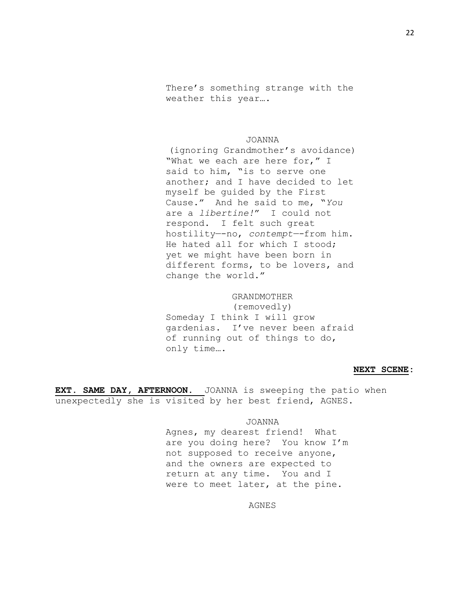There's something strange with the weather this year….

### JOANNA

(ignoring Grandmother's avoidance) "What we each are here for," I said to him, "is to serve one another; and I have decided to let myself be guided by the First Cause." And he said to me, "*You* are a *libertine!*" I could not respond. I felt such great hostility—-no, *contempt—-*from him. He hated all for which I stood; yet we might have been born in different forms, to be lovers, and change the world."

# GRANDMOTHER

(removedly) Someday I think I will grow gardenias. I've never been afraid of running out of things to do, only time….

#### **NEXT SCENE:**

**EXT. SAME DAY, AFTERNOON.** JOANNA is sweeping the patio when unexpectedly she is visited by her best friend, AGNES.

## JOANNA

Agnes, my dearest friend! What are you doing here? You know I'm not supposed to receive anyone, and the owners are expected to return at any time. You and I were to meet later, at the pine.

AGNES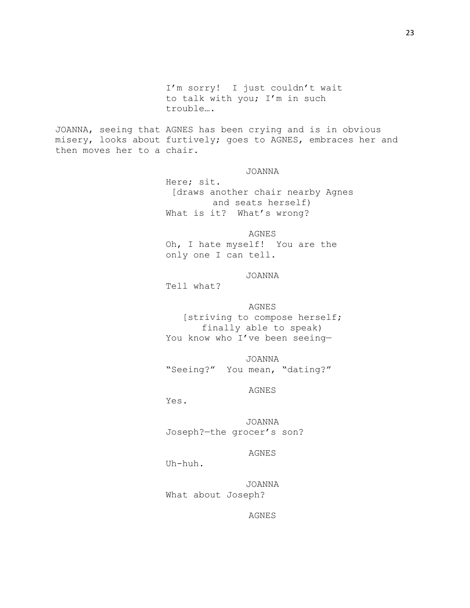I'm sorry! I just couldn't wait to talk with you; I'm in such trouble….

JOANNA, seeing that AGNES has been crying and is in obvious misery, looks about furtively; goes to AGNES, embraces her and then moves her to a chair.

JOANNA

Here; sit. [draws another chair nearby Agnes and seats herself) What is it? What's wrong?

AGNES Oh, I hate myself! You are the only one I can tell.

# JOANNA

Tell what?

AGNES

[striving to compose herself; finally able to speak) You know who I've been seeing-

JOANNA "Seeing?" You mean, "dating?"

AGNES

Yes.

JOANNA Joseph?—the grocer's son?

AGNES

Uh-huh.

JOANNA What about Joseph?

AGNES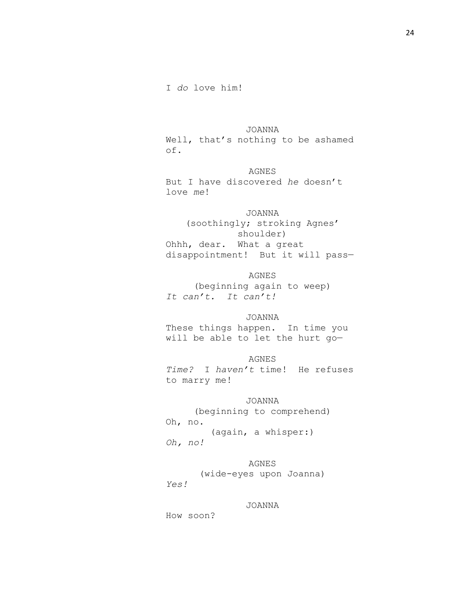24

I *do* love him!

JOANNA

Well, that's nothing to be ashamed of.

AGNES But I have discovered *he* doesn't love *me*!

JOANNA (soothingly; stroking Agnes' shoulder) Ohhh, dear. What a great disappointment! But it will pass—

AGNES (beginning again to weep) *It can't. It can't!*

JOANNA These things happen. In time you will be able to let the hurt go—

AGNES *Time?* I *haven't* time! He refuses to marry me!

JOANNA (beginning to comprehend) Oh, no. (again, a whisper:) *Oh, no!*

AGNES (wide-eyes upon Joanna) *Yes!*

JOANNA

How soon?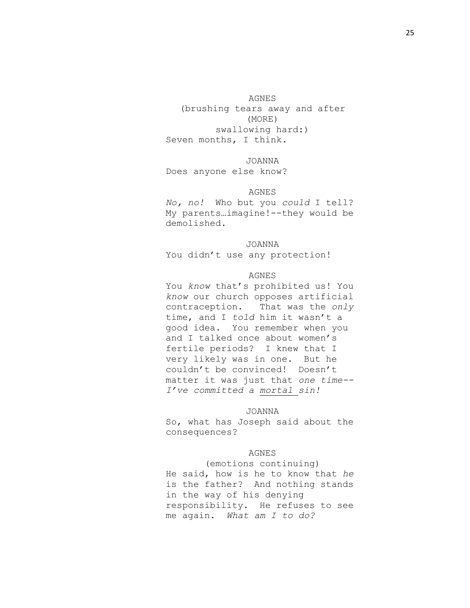AGNES

(brushing tears away and after (MORE) swallowing hard:) Seven months, I think.

#### JOANNA

Does anyone else know?

#### AGNES

*No, no!* Who but you *could* I tell? My parents…imagine!--they would be demolished.

# JOANNA

You didn't use any protection!

### AGNES

You *know* that's prohibited us! You *know* our church opposes artificial contraception. That was the *only*  time, and I *told* him it wasn't a good idea. You remember when you and I talked once about women's fertile periods? I knew that I very likely was in one. But he couldn't be convinced! Doesn't matter it was just that *one time-- I've committed a mortal sin!*

#### JOANNA

So, what has Joseph said about the consequences?

### AGNES

(emotions continuing) He said, how is he to know that *he* is the father? And nothing stands in the way of his denying responsibility. He refuses to see me again. *What am I to do?*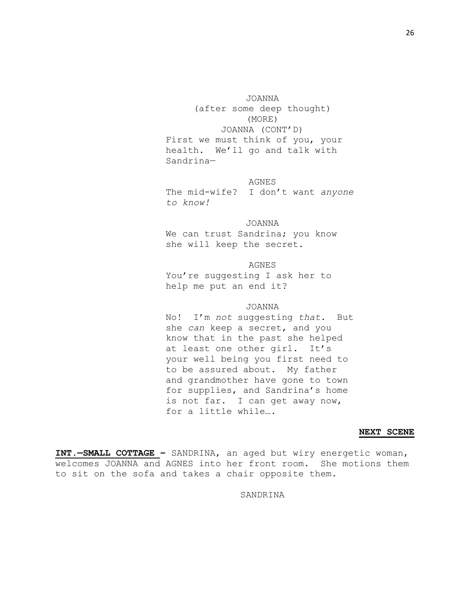JOANNA (after some deep thought) (MORE) JOANNA (CONT'D) First we must think of you, your health. We'll go and talk with Sandrina—

AGNES The mid-wife? I don't want *anyone to know!*

JOANNA We can trust Sandrina; you know she will keep the secret.

AGNES You're suggesting I ask her to help me put an end it?

#### JOANNA

No! I'm *not* suggesting *that.* But she *can* keep a secret, and you know that in the past she helped at least one other girl. It's your well being you first need to to be assured about. My father and grandmother have gone to town for supplies, and Sandrina's home is not far. I can get away now, for a little while….

#### **NEXT SCENE**

**INT.—SMALL COTTAGE –** SANDRINA, an aged but wiry energetic woman, welcomes JOANNA and AGNES into her front room. She motions them to sit on the sofa and takes a chair opposite them.

SANDRINA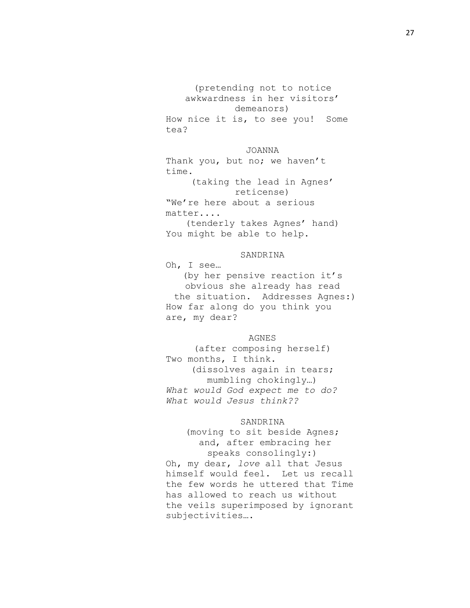(pretending not to notice awkwardness in her visitors' demeanors) How nice it is, to see you! Some tea?

JOANNA Thank you, but no; we haven't time. (taking the lead in Agnes' reticense) "We're here about a serious matter....

(tenderly takes Agnes' hand) You might be able to help.

## SANDRINA

Oh, I see… (by her pensive reaction it's

obvious she already has read the situation. Addresses Agnes:) How far along do you think you are, my dear?

# AGNES

(after composing herself) Two months, I think. (dissolves again in tears; mumbling chokingly…) *What would God expect me to do? What would Jesus think??*

## SANDRINA

(moving to sit beside Agnes; and, after embracing her speaks consolingly:)

Oh, my dear, *love* all that Jesus himself would feel. Let us recall the few words he uttered that Time has allowed to reach us without the veils superimposed by ignorant subjectivities….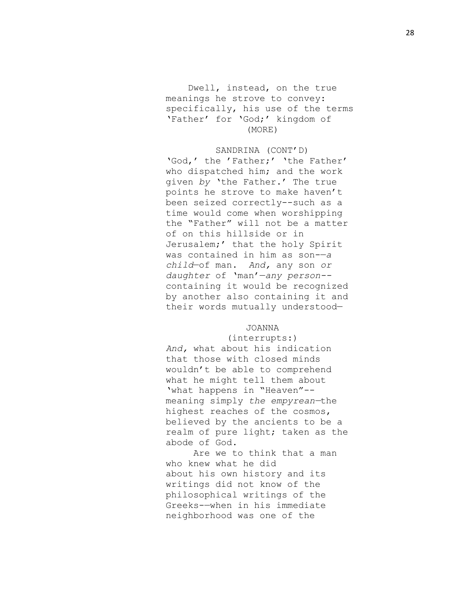Dwell, instead, on the true meanings he strove to convey: specifically, his use of the terms 'Father' for 'God;' kingdom of (MORE)

SANDRINA (CONT'D) 'God,' the 'Father;' 'the Father' who dispatched him; and the work given *by* 'the Father.' The true points he strove to make haven't been seized correctly--such as a time would come when worshipping the "Father" will not be a matter of on this hillside or in Jerusalem;' that the holy Spirit was contained in him as son-—*a child*—of man. *And,* any son *or daughter* of 'man'—*any person-* containing it would be recognized by another also containing it and their words mutually understood—

#### JOANNA

# (interrupts:) *And,* what about his indication that those with closed minds wouldn't be able to comprehend what he might tell them about 'what happens in "Heaven"- meaning simply *the empyrean—*the highest reaches of the cosmos, believed by the ancients to be a realm of pure light; taken as the abode of God.

Are we to think that a man who knew what he did about his own history and its writings did not know of the philosophical writings of the Greeks-—when in his immediate neighborhood was one of the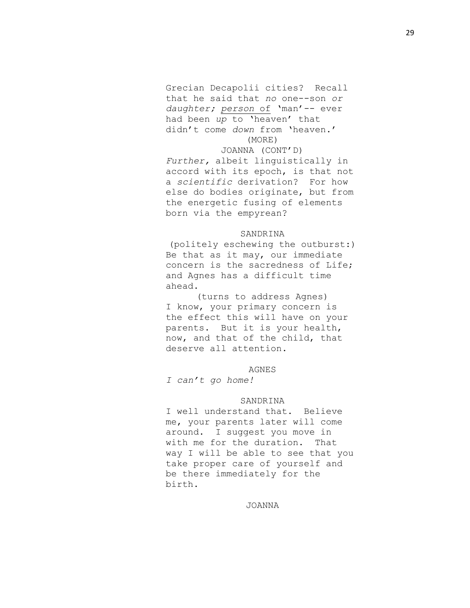Grecian Decapolii cities? Recall that he said that *no* one--son *or daughter; person* of 'man'-- ever had been *up* to 'heaven' that didn't come *down* from 'heaven.' (MORE)

JOANNA (CONT'D) *Further,* albeit linguistically in accord with its epoch, is that not a *scientific* derivation? For how else do bodies originate, but from the energetic fusing of elements born via the empyrean?

### **SANDRINA**

(politely eschewing the outburst:) Be that as it may, our immediate concern is the sacredness of Life; and Agnes has a difficult time ahead.

(turns to address Agnes) I know, your primary concern is the effect this will have on your parents. But it is your health, now, and that of the child, that deserve all attention.

#### AGNES

*I can't go home!*

#### SANDRINA

I well understand that. Believe me, your parents later will come around. I suggest you move in with me for the duration. That way I will be able to see that you take proper care of yourself and be there immediately for the birth.

JOANNA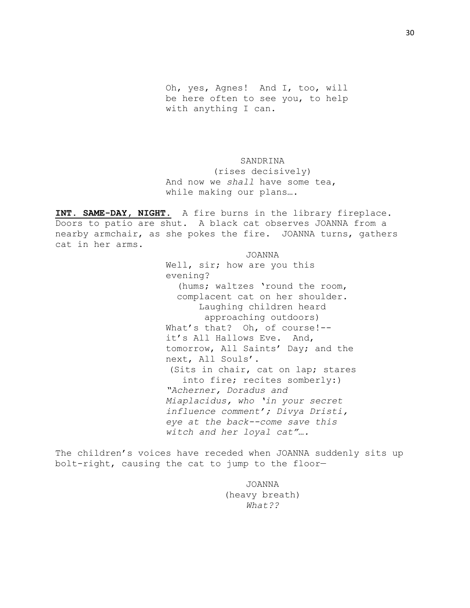Oh, yes, Agnes! And I, too, will be here often to see you, to help with anything I can.

SANDRINA (rises decisively) And now we *shall* have some tea, while making our plans….

**INT. SAME-DAY, NIGHT.** A fire burns in the library fireplace. Doors to patio are shut. A black cat observes JOANNA from a nearby armchair, as she pokes the fire. JOANNA turns, gathers cat in her arms.

> JOANNA Well, sir; how are you this evening? (hums; waltzes 'round the room, complacent cat on her shoulder. Laughing children heard approaching outdoors) What's that? Oh, of course!- it's All Hallows Eve. And, tomorrow, All Saints' Day; and the next, All Souls'. (Sits in chair, cat on lap; stares into fire; recites somberly:) *"Acherner, Doradus and Miaplacidus, who 'in your secret influence comment'; Divya Dristi, eye at the back--come save this witch and her loyal cat"….*

The children's voices have receded when JOANNA suddenly sits up bolt-right, causing the cat to jump to the floor—

> JOANNA (heavy breath) *What??*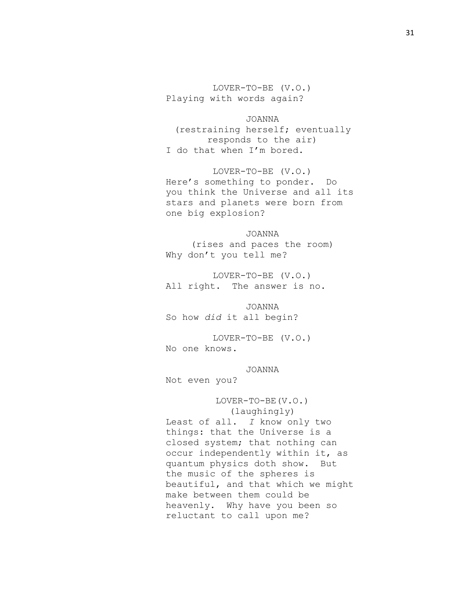LOVER-TO-BE (V.O.) Playing with words again?

JOANNA (restraining herself; eventually responds to the air) I do that when I'm bored.

LOVER-TO-BE (V.O.) Here's something to ponder. Do you think the Universe and all its stars and planets were born from one big explosion?

JOANNA (rises and paces the room) Why don't you tell me?

LOVER-TO-BE (V.O.) All right. The answer is no.

JOANNA So how *did* it all begin?

LOVER-TO-BE (V.O.) No one knows.

JOANNA

Not even you?

LOVER-TO-BE(V.O.) (laughingly) Least of all. *I* know only two things: that the Universe is a closed system; that nothing can occur independently within it, as quantum physics doth show. But the music of the spheres is beautiful, and that which we might make between them could be heavenly. Why have you been so reluctant to call upon me?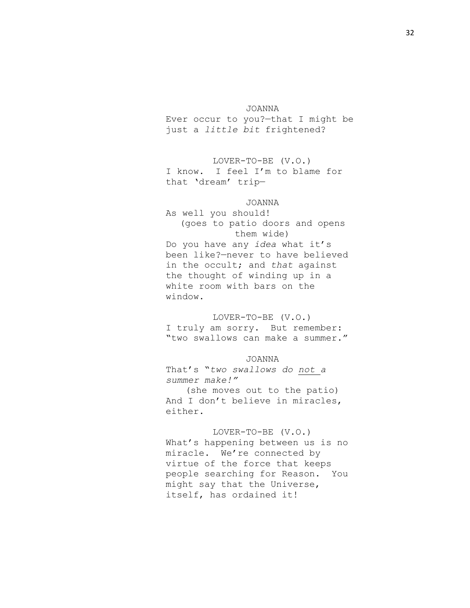#### JOANNA

Ever occur to you?—that I might be just a *little bit* frightened?

LOVER-TO-BE (V.O.) I know. I feel I'm to blame for that 'dream' trip—

# JOANNA

As well you should! (goes to patio doors and opens them wide) Do you have any *idea* what it's been like?—never to have believed in the occult; and *that* against the thought of winding up in a white room with bars on the window.

LOVER-TO-BE (V.O.) I truly am sorry. But remember: "two swallows can make a summer."

# JOANNA

That's "*two swallows do not a summer make!"* (she moves out to the patio) And I don't believe in miracles, either.

#### LOVER-TO-BE (V.O.)

What's happening between us is no miracle. We're connected by virtue of the force that keeps people searching for Reason. You might say that the Universe, itself, has ordained it!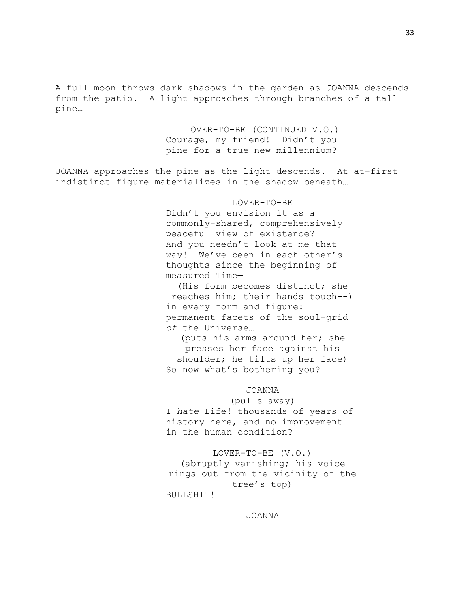A full moon throws dark shadows in the garden as JOANNA descends from the patio. A light approaches through branches of a tall pine…

> LOVER-TO-BE (CONTINUED V.O.) Courage, my friend! Didn't you pine for a true new millennium?

JOANNA approaches the pine as the light descends. At at-first indistinct figure materializes in the shadow beneath…

# LOVER-TO-BE

Didn't you envision it as a commonly-shared, comprehensively peaceful view of existence? And you needn't look at me that way! We've been in each other's thoughts since the beginning of measured Time—

(His form becomes distinct; she reaches him; their hands touch--) in every form and figure: permanent facets of the soul-grid *of* the Universe…

(puts his arms around her; she presses her face against his shoulder; he tilts up her face) So now what's bothering you?

### JOANNA

(pulls away) I *hate* Life!—thousands of years of history here, and no improvement in the human condition?

LOVER-TO-BE (V.O.) (abruptly vanishing; his voice rings out from the vicinity of the tree's top) BULLSHIT!

JOANNA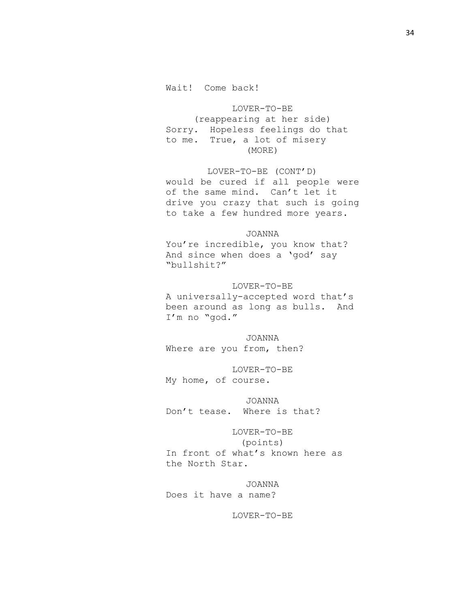LOVER-TO-BE (reappearing at her side) Sorry. Hopeless feelings do that to me. True, a lot of misery (MORE)

LOVER-TO-BE (CONT'D) would be cured if all people were of the same mind. Can't let it drive you crazy that such is going to take a few hundred more years.

JOANNA You're incredible, you know that? And since when does a 'god' say "bullshit?"

LOVER-TO-BE A universally-accepted word that's been around as long as bulls. And I'm no "god."

JOANNA Where are you from, then?

LOVER-TO-BE My home, of course.

JOANNA Don't tease. Where is that?

LOVER-TO-BE (points) In front of what's known here as the North Star.

JOANNA Does it have a name?

LOVER-TO-BE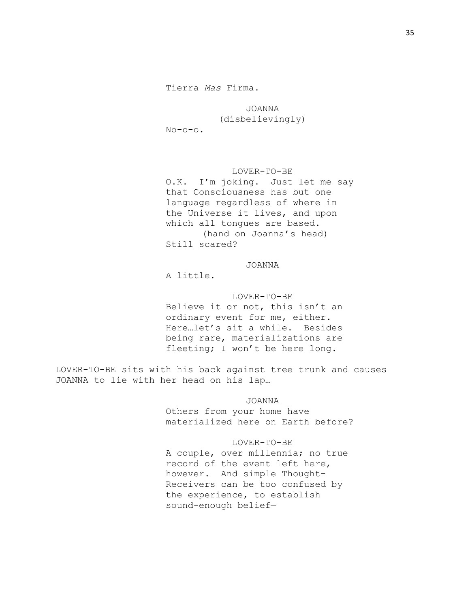# JOANNA

# (disbelievingly)

No-o-o.

# LOVER-TO-BE

O.K. I'm joking. Just let me say that Consciousness has but one language regardless of where in the Universe it lives, and upon which all tongues are based. (hand on Joanna's head) Still scared?

# JOANNA

A little.

LOVER-TO-BE Believe it or not, this isn't an ordinary event for me, either. Here…let's sit a while. Besides being rare, materializations are fleeting; I won't be here long.

LOVER-TO-BE sits with his back against tree trunk and causes JOANNA to lie with her head on his lap…

> JOANNA Others from your home have materialized here on Earth before?

#### LOVER-TO-BE

A couple, over millennia; no true record of the event left here, however. And simple Thought-Receivers can be too confused by the experience, to establish sound-enough belief—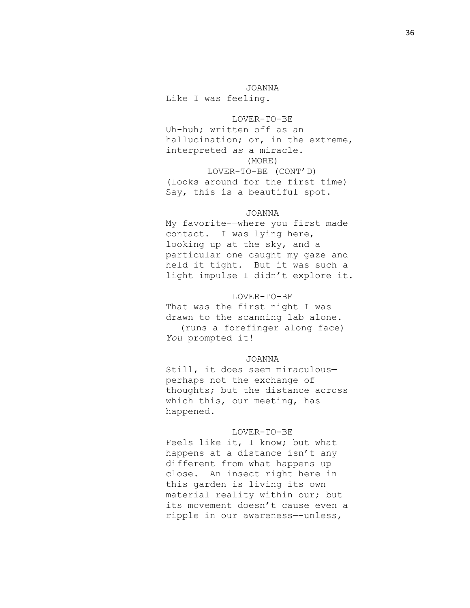JOANNA Like I was feeling.

LOVER-TO-BE Uh-huh; written off as an hallucination; or, in the extreme, interpreted *as* a miracle. (MORE) LOVER-TO-BE (CONT'D) (looks around for the first time) Say, this is a beautiful spot.

#### JOANNA

My favorite-—where you first made contact. I was lying here, looking up at the sky, and a particular one caught my gaze and held it tight. But it was such a light impulse I didn't explore it.

# LOVER-TO-BE

That was the first night I was drawn to the scanning lab alone. (runs a forefinger along face) *You* prompted it!

# JOANNA

Still, it does seem miraculous perhaps not the exchange of thoughts; but the distance across which this, our meeting, has happened.

#### LOVER-TO-BE

Feels like it, I know; but what happens at a distance isn't any different from what happens up close. An insect right here in this garden is living its own material reality within our; but its movement doesn't cause even a ripple in our awareness—-unless,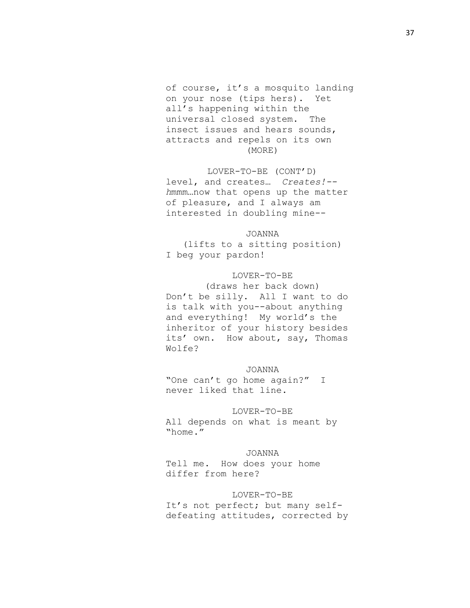of course, it's a mosquito landing on your nose (tips hers). Yet all's happening within the universal closed system. The insect issues and hears sounds, attracts and repels on its own (MORE)

LOVER-TO-BE (CONT'D) level, and creates… *Creates!- h*mmm…now that opens up the matter of pleasure, and I always am interested in doubling mine--

JOANNA (lifts to a sitting position) I beg your pardon!

# LOVER-TO-BE

(draws her back down) Don't be silly. All I want to do is talk with you--about anything and everything! My world's the inheritor of your history besides its' own. How about, say, Thomas Wolfe?

## JOANNA

"One can't go home again?" I never liked that line.

## LOVER-TO-BE

All depends on what is meant by "home."

#### JOANNA

Tell me. How does your home differ from here?

# LOVER-TO-BE

It's not perfect; but many selfdefeating attitudes, corrected by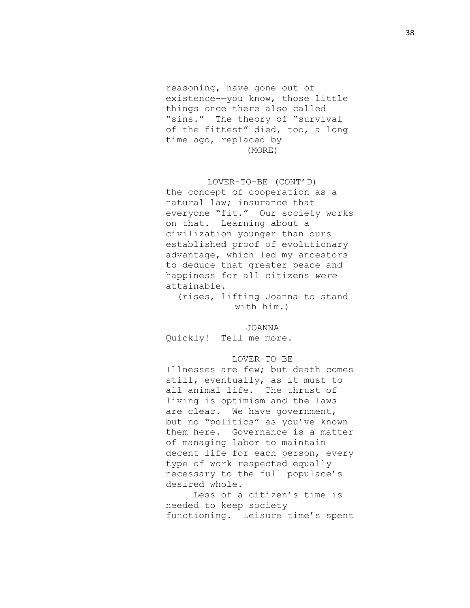reasoning, have gone out of existence-—you know, those little things once there also called "sins." The theory of "survival of the fittest" died, too, a long time ago, replaced by (MORE)

LOVER-TO-BE (CONT'D) the concept of cooperation as a natural law; insurance that everyone "fit." Our society works on that. Learning about a civilization younger than ours established proof of evolutionary advantage, which led my ancestors to deduce that greater peace and happiness for all citizens *were* attainable.

(rises, lifting Joanna to stand with him.)

JOANNA Quickly! Tell me more.

# LOVER-TO-BE

Illnesses are few; but death comes still, eventually, as it must to all animal life. The thrust of living is optimism and the laws are clear. We have government, but no "politics" as you've known them here. Governance is a matter of managing labor to maintain decent life for each person, every type of work respected equally necessary to the full populace's desired whole.

 Less of a citizen's time is needed to keep society functioning. Leisure time's spent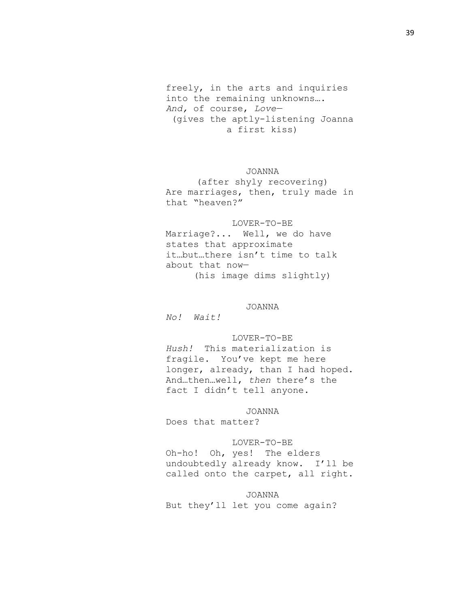freely, in the arts and inquiries into the remaining unknowns…. *And,* of course, *Love—* (gives the aptly-listening Joanna a first kiss)

JOANNA

(after shyly recovering) Are marriages, then, truly made in that "heaven?"

LOVER-TO-BE Marriage?... Well, we do have states that approximate it…but…there isn't time to talk about that now— (his image dims slightly)

JOANNA

*No! Wait!*

# LOVER-TO-BE

*Hush!* This materialization is fragile. You've kept me here longer, already, than I had hoped. And…then…well, *then* there's the fact I didn't tell anyone.

JOANNA

Does that matter?

## LOVER-TO-BE

Oh-ho! Oh, yes! The elders undoubtedly already know. I'll be called onto the carpet, all right.

## JOANNA

But they'll let you come again?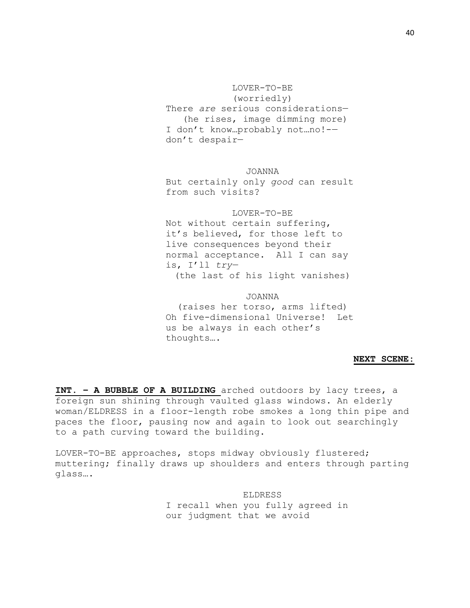LOVER-TO-BE (worriedly) There *are* serious considerations— (he rises, image dimming more) I don't know…probably not…no!- don't despair—

JOANNA But certainly only *good* can result from such visits?

LOVER-TO-BE Not without certain suffering, it's believed, for those left to live consequences beyond their normal acceptance. All I can say is, I'll *try—* (the last of his light vanishes)

JOANNA (raises her torso, arms lifted) Oh five-dimensional Universe! Let us be always in each other's thoughts….

# **NEXT SCENE:**

**INT. – A BUBBLE OF A BUILDING** arched outdoors by lacy trees, a foreign sun shining through vaulted glass windows. An elderly woman/ELDRESS in a floor-length robe smokes a long thin pipe and paces the floor, pausing now and again to look out searchingly to a path curving toward the building.

LOVER-TO-BE approaches, stops midway obviously flustered; muttering; finally draws up shoulders and enters through parting glass….

> ELDRESS I recall when you fully agreed in our judgment that we avoid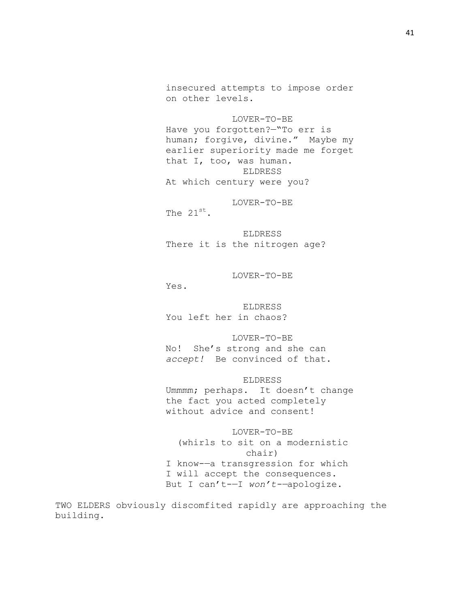insecured attempts to impose order on other levels.

LOVER-TO-BE Have you forgotten?—"To err is human; forgive, divine." Maybe my earlier superiority made me forget that I, too, was human. ELDRESS At which century were you?

LOVER-TO-BE

The 21st.

ELDRESS There it is the nitrogen age?

LOVER-TO-BE

Yes.

ELDRESS You left her in chaos?

LOVER-TO-BE

No! She's strong and she can *accept!* Be convinced of that.

ELDRESS

Ummmm; perhaps. It doesn't change the fact you acted completely without advice and consent!

LOVER-TO-BE (whirls to sit on a modernistic chair) I know-—a transgression for which I will accept the consequences. But I can't-—I *won't-—*apologize.

TWO ELDERS obviously discomfited rapidly are approaching the building.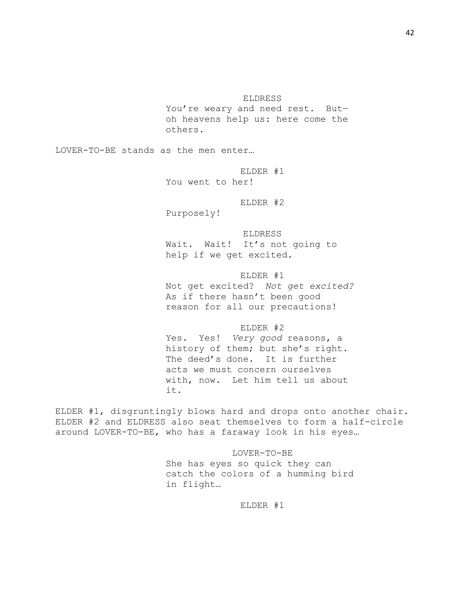ELDRESS

You're weary and need rest. But oh heavens help us: here come the others.

LOVER-TO-BE stands as the men enter…

ELDER #1 You went to her!

ELDER #2

Purposely!

ELDRESS Wait. Wait! It's not going to help if we get excited.

ELDER #1

Not get excited? *Not get excited?*  As if there hasn't been good reason for all our precautions!

ELDER #2

Yes. Yes! *Very good* reasons, a history of them; but she's right. The deed's done. It is further acts we must concern ourselves with, now. Let him tell us about it.

ELDER #1, disgruntingly blows hard and drops onto another chair. ELDER #2 and ELDRESS also seat themselves to form a half-circle around LOVER-TO-BE, who has a faraway look in his eyes…

> LOVER-TO-BE She has eyes so quick they can catch the colors of a humming bird in flight…

> > ELDER #1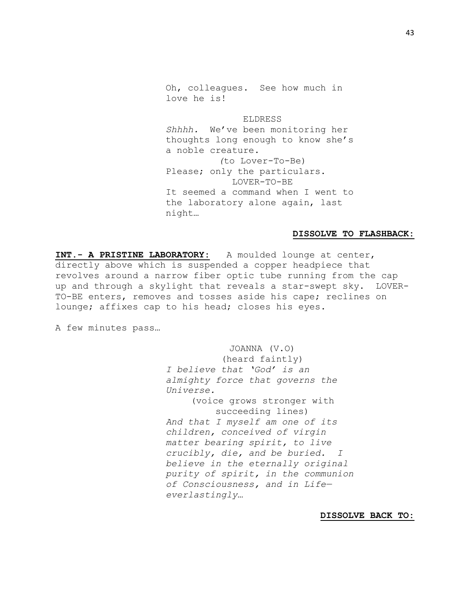Oh, colleagues. See how much in love he is!

ELDRESS *Shhhh.* We've been monitoring her thoughts long enough to know she's a noble creature. *(*to Lover-To-Be) Please; only the particulars. LOVER-TO-BE It seemed a command when I went to the laboratory alone again, last night…

#### **DISSOLVE TO FLASHBACK:**

**INT.- A PRISTINE LABORATORY:** A moulded lounge at center, directly above which is suspended a copper headpiece that revolves around a narrow fiber optic tube running from the cap up and through a skylight that reveals a star-swept sky. LOVER-TO-BE enters, removes and tosses aside his cape; reclines on lounge; affixes cap to his head; closes his eyes.

A few minutes pass…

JOANNA (V.O) (heard faintly) *I believe that 'God' is an almighty force that governs the Universe.* (voice grows stronger with succeeding lines) *And that I myself am one of its children, conceived of virgin matter bearing spirit, to live crucibly, die, and be buried. I believe in the eternally original purity of spirit, in the communion of Consciousness, and in Life everlastingly…*

**DISSOLVE BACK TO:**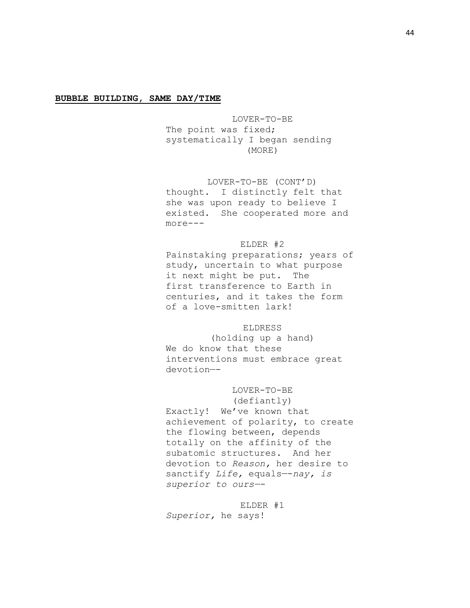## **BUBBLE BUILDING, SAME DAY/TIME**

LOVER-TO-BE The point was fixed; systematically I began sending (MORE)

# LOVER-TO-BE (CONT'D)

thought. I distinctly felt that she was upon ready to believe I existed. She cooperated more and more---

## ELDER #2

Painstaking preparations; years of study, uncertain to what purpose it next might be put. The first transference to Earth in centuries, and it takes the form of a love-smitten lark!

## ELDRESS

(holding up a hand) We do know that these interventions must embrace great devotion—-

# LOVER-TO-BE

(defiantly) Exactly! We've known that achievement of polarity, to create the flowing between, depends totally on the affinity of the subatomic structures. And her devotion to *Reason,* her desire to sanctify *Life,* equals—-*nay, is superior to ours—-*

ELDER #1 *Superior,* he says!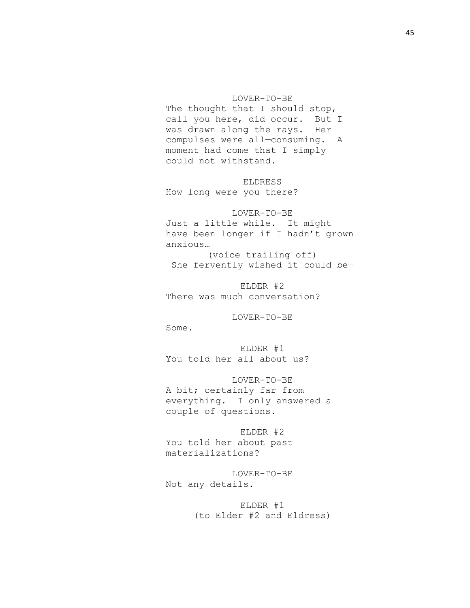## LOVER-TO-BE

The thought that I should stop, call you here, did occur. But I was drawn along the rays. Her compulses were all—consuming. A moment had come that I simply could not withstand.

ELDRESS How long were you there?

LOVER-TO-BE Just a little while. It might have been longer if I hadn't grown anxious…

(voice trailing off) She fervently wished it could be—

ELDER #2 There was much conversation?

LOVER-TO-BE

Some.

ELDER #1 You told her all about us?

LOVER-TO-BE A bit; certainly far from everything. I only answered a couple of questions.

ELDER #2 You told her about past materializations?

LOVER-TO-BE Not any details.

> ELDER #1 (to Elder #2 and Eldress)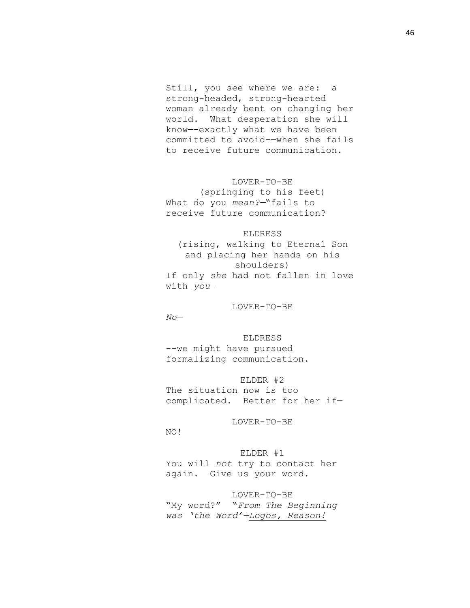Still, you see where we are: a strong-headed, strong-hearted woman already bent on changing her world. What desperation she will know—-exactly what we have been committed to avoid-—when she fails to receive future communication.

LOVER-TO-BE (springing to his feet) What do you *mean?—*"fails to

receive future communication?

# ELDRESS

(rising, walking to Eternal Son and placing her hands on his shoulders) If only *she* had not fallen in love with *you—*

LOVER-TO-BE

*No—*

## ELDRESS

--we might have pursued formalizing communication.

## ELDER #2

The situation now is too complicated. Better for her if—

LOVER-TO-BE

NO!

# ELDER #1

You will *not* try to contact her again. Give us your word.

# LOVER-TO-BE

"My word?" "*From The Beginning was 'the Word'—Logos, Reason!*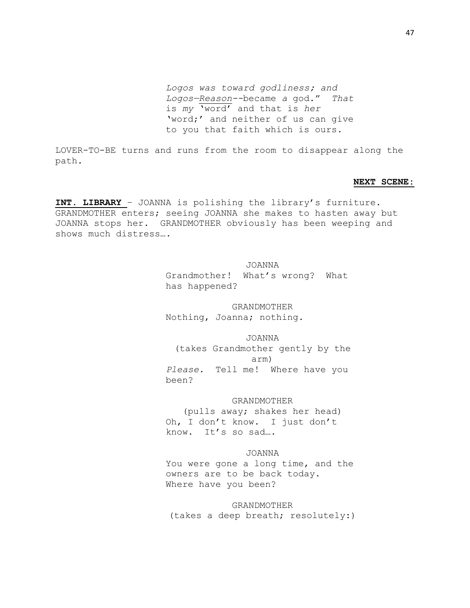*Logos was toward godliness; and Logos—Reason--*became *a* god." *That*  is *my* 'word' and that is *her*  'word;' and neither of us can give to you that faith which is ours.

LOVER-TO-BE turns and runs from the room to disappear along the path.

## **NEXT SCENE:**

**INT. LIBRARY** – JOANNA is polishing the library's furniture. GRANDMOTHER enters; seeing JOANNA she makes to hasten away but JOANNA stops her. GRANDMOTHER obviously has been weeping and shows much distress….

#### JOANNA

Grandmother! What's wrong? What has happened?

GRANDMOTHER

Nothing, Joanna; nothing.

JOANNA

(takes Grandmother gently by the arm) *Please.* Tell me! Where have you been?

## GRANDMOTHER

(pulls away; shakes her head) Oh, I don't know. I just don't know. It's so sad….

# JOANNA

You were gone a long time, and the owners are to be back today. Where have you been?

GRANDMOTHER (takes a deep breath; resolutely:)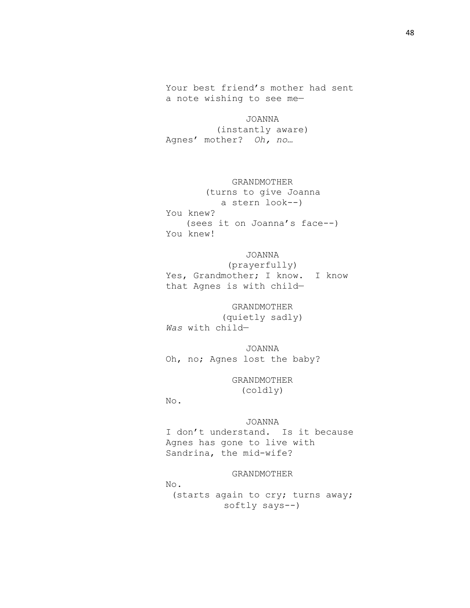Your best friend's mother had sent a note wishing to see me—

JOANNA (instantly aware) Agnes' mother? *Oh, no…*

GRANDMOTHER (turns to give Joanna a stern look--) You knew? (sees it on Joanna's face--) You knew!

JOANNA (prayerfully) Yes, Grandmother; I know. I know that Agnes is with child—

GRANDMOTHER (quietly sadly) *Was* with child—

JOANNA Oh, no; Agnes lost the baby?

> GRANDMOTHER (coldly)

No.

JOANNA I don't understand. Is it because Agnes has gone to live with Sandrina, the mid-wife?

GRANDMOTHER No. (starts again to cry; turns away; softly says--)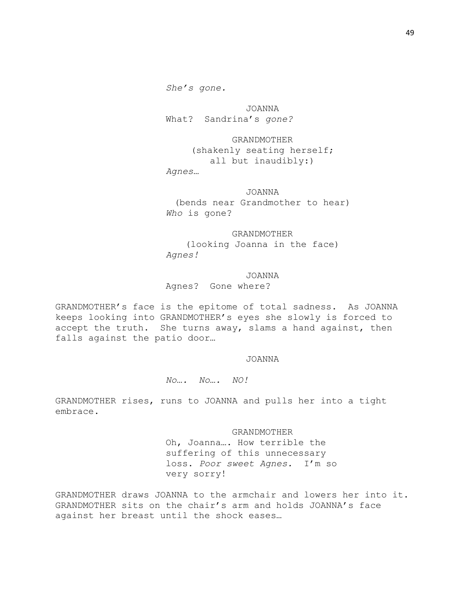JOANNA What? Sandrina's *gone?*

GRANDMOTHER (shakenly seating herself; all but inaudibly:) *Agnes…*

JOANNA (bends near Grandmother to hear) *Who* is gone?

GRANDMOTHER (looking Joanna in the face) *Agnes!*

JOANNA Agnes? Gone where?

GRANDMOTHER's face is the epitome of total sadness. As JOANNA keeps looking into GRANDMOTHER's eyes she slowly is forced to accept the truth. She turns away, slams a hand against, then falls against the patio door…

## JOANNA

*No…. No…. NO!*

GRANDMOTHER rises, runs to JOANNA and pulls her into a tight embrace.

> GRANDMOTHER Oh, Joanna…. How terrible the suffering of this unnecessary loss. *Poor sweet Agnes.* I'm so very sorry!

GRANDMOTHER draws JOANNA to the armchair and lowers her into it. GRANDMOTHER sits on the chair's arm and holds JOANNA's face against her breast until the shock eases…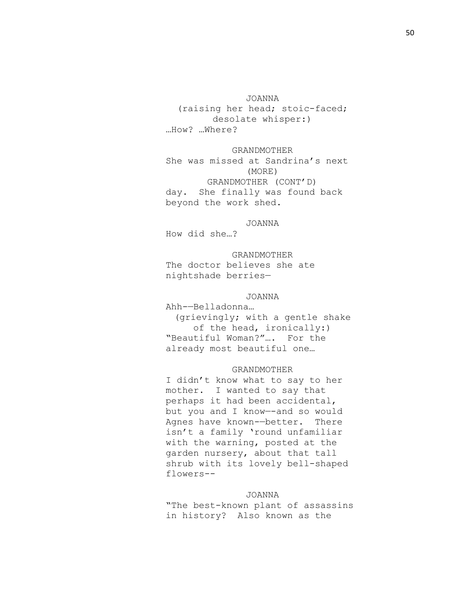JOANNA

(raising her head; stoic-faced; desolate whisper:) …How? …Where?

GRANDMOTHER She was missed at Sandrina's next (MORE) GRANDMOTHER (CONT'D) day. She finally was found back beyond the work shed.

JOANNA

How did she…?

GRANDMOTHER The doctor believes she ate nightshade berries—

# JOANNA

Ahh-—Belladonna… (grievingly; with a gentle shake of the head, ironically:) "Beautiful Woman?"…. For the already most beautiful one…

## GRANDMOTHER

I didn't know what to say to her mother. I wanted to say that perhaps it had been accidental, but you and I know—-and so would Agnes have known-—better. There isn't a family 'round unfamiliar with the warning, posted at the garden nursery, about that tall shrub with its lovely bell-shaped flowers--

## JOANNA

"The best-known plant of assassins in history? Also known as the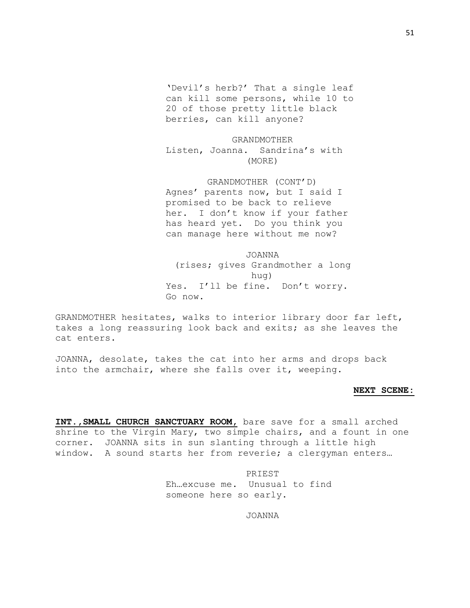'Devil's herb?' That a single leaf can kill some persons, while 10 to 20 of those pretty little black berries, can kill anyone?

GRANDMOTHER Listen, Joanna. Sandrina's with (MORE)

GRANDMOTHER (CONT'D) Agnes' parents now, but I said I promised to be back to relieve her. I don't know if your father has heard yet. Do you think you can manage here without me now?

JOANNA (rises; gives Grandmother a long hug) Yes. I'll be fine. Don't worry. Go now.

GRANDMOTHER hesitates, walks to interior library door far left, takes a long reassuring look back and exits; as she leaves the cat enters.

JOANNA, desolate, takes the cat into her arms and drops back into the armchair, where she falls over it, weeping.

#### **NEXT SCENE:**

**INT.,SMALL CHURCH SANCTUARY ROOM,** bare save for a small arched shrine to the Virgin Mary, two simple chairs, and a fount in one corner. JOANNA sits in sun slanting through a little high window. A sound starts her from reverie; a clergyman enters…

> PRIEST Eh…excuse me. Unusual to find someone here so early.

> > JOANNA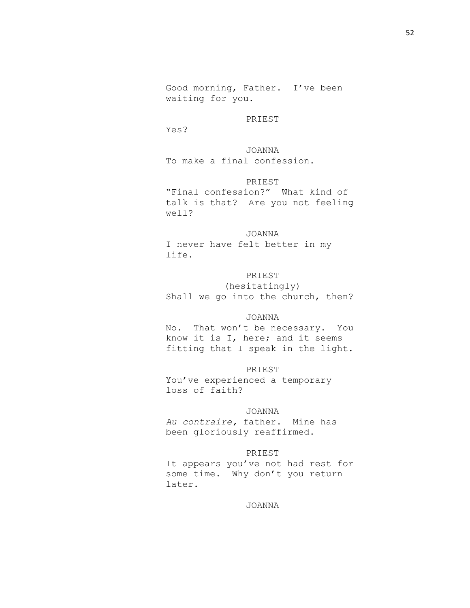Good morning, Father. I've been waiting for you.

## PRIEST

Yes?

JOANNA To make a final confession.

PRIEST "Final confession?" What kind of talk is that? Are you not feeling well?

JOANNA I never have felt better in my life.

PRIEST (hesitatingly) Shall we go into the church, then?

## JOANNA

No. That won't be necessary. You know it is I, here; and it seems fitting that I speak in the light.

## PRIEST

You've experienced a temporary loss of faith?

## JOANNA

*Au contraire,* father. Mine has been gloriously reaffirmed.

# PRIEST

It appears you've not had rest for some time. Why don't you return later.

JOANNA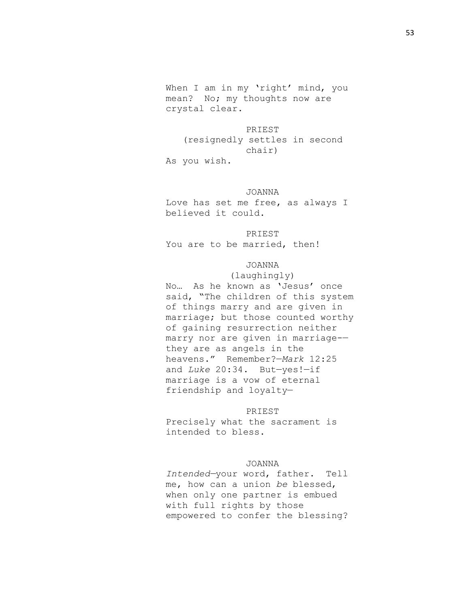When I am in my 'right' mind, you mean? No; my thoughts now are crystal clear.

PRIEST (resignedly settles in second chair) As you wish.

# JOANNA

Love has set me free, as always I believed it could.

# PRIEST

You are to be married, then!

# JOANNA

(laughingly) No… As he known as 'Jesus' once said, "The children of this system of things marry and are given in marriage; but those counted worthy of gaining resurrection neither marry nor are given in marriage- they are as angels in the heavens." Remember?—*Mark* 12:25 and *Luke* 20:34. But—yes!—if marriage is a vow of eternal friendship and loyalty—

#### PRIEST

Precisely what the sacrament is intended to bless.

## JOANNA

*Intended—*your word, father. Tell me, how can a union *be* blessed, when only one partner is embued with full rights by those empowered to confer the blessing?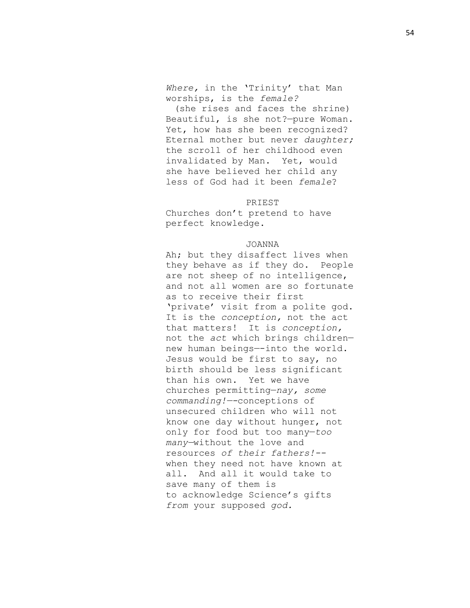*Where,* in the 'Trinity' that Man worships, is the *female?*

(she rises and faces the shrine) Beautiful, is she not?—pure Woman. Yet, how has she been recognized? Eternal mother but never *daughter;*  the scroll of her childhood even invalidated by Man. Yet, would she have believed her child any less of God had it been *female*?

#### PRIEST

Churches don't pretend to have perfect knowledge.

## JOANNA

Ah; but they disaffect lives when they behave as if they do. People are not sheep of no intelligence, and not all women are so fortunate as to receive their first 'private' visit from a polite god. It is the *conception,* not the act that matters! It is *conception,*  not the *act* which brings children new human beings—-into the world. Jesus would be first to say, no birth should be less significant than his own. Yet we have churches permitting—*nay, some commanding!—-*conceptions of unsecured children who will not know one day without hunger, not only for food but too many—*too many—*without the love and resources *of their fathers!-* when they need not have known at all. And all it would take to save many of them is to acknowledge Science's gifts *from* your supposed *god.*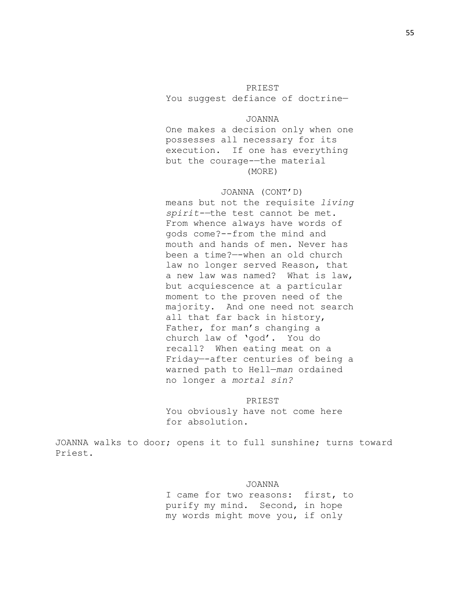# PRIEST

You suggest defiance of doctrine—

## JOANNA

One makes a decision only when one possesses all necessary for its execution. If one has everything but the courage-—the material (MORE)

## JOANNA (CONT'D)

means but not the requisite *living spirit-—*the test cannot be met. From whence always have words of gods come?--from the mind and mouth and hands of men. Never has been a time?—-when an old church law no longer served Reason, that a new law was named? What is law, but acquiescence at a particular moment to the proven need of the majority. And one need not search all that far back in history, Father, for man's changing a church law of 'god'. You do recall? When eating meat on a Friday—-after centuries of being a warned path to Hell—*man* ordained no longer a *mortal sin?*

## PRIEST

You obviously have not come here for absolution.

JOANNA walks to door; opens it to full sunshine; turns toward Priest.

#### JOANNA

I came for two reasons: first, to purify my mind. Second, in hope my words might move you, if only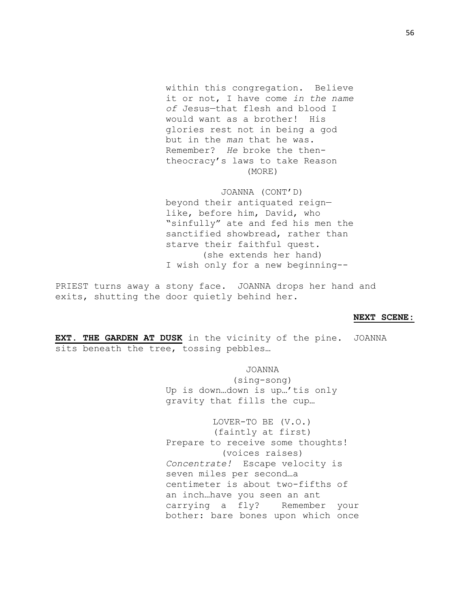within this congregation. Believe it or not, I have come *in the name of* Jesus—that flesh and blood I would want as a brother! His glories rest not in being a god but in the *man* that he was. Remember? *He* broke the thentheocracy's laws to take Reason (MORE)

JOANNA (CONT'D) beyond their antiquated reign like, before him, David, who "sinfully" ate and fed his men the sanctified showbread, rather than starve their faithful quest. (she extends her hand) I wish only for a new beginning--

PRIEST turns away a stony face. JOANNA drops her hand and exits, shutting the door quietly behind her.

#### **NEXT SCENE:**

**EXT. THE GARDEN AT DUSK** in the vicinity of the pine. JOANNA sits beneath the tree, tossing pebbles…

> JOANNA (sing-song) Up is down…down is up…'tis only gravity that fills the cup…

LOVER-TO BE (V.O.) (faintly at first) Prepare to receive some thoughts! (voices raises) *Concentrate!* Escape velocity is seven miles per second…a centimeter is about two-fifths of an inch…have you seen an ant carrying a fly? Remember your bother: bare bones upon which once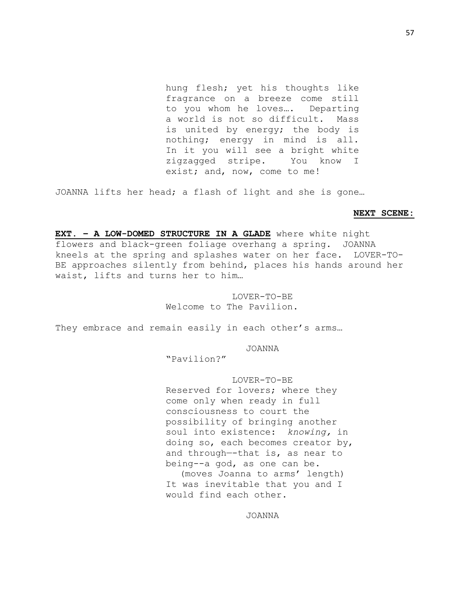hung flesh; yet his thoughts like fragrance on a breeze come still to you whom he loves…. Departing a world is not so difficult. Mass is united by energy; the body is nothing; energy in mind is all. In it you will see a bright white zigzagged stripe. You know I exist; and, now, come to me!

JOANNA lifts her head; a flash of light and she is gone…

## **NEXT SCENE:**

**EXT. – A LOW-DOMED STRUCTURE IN A GLADE** where white night flowers and black-green foliage overhang a spring. JOANNA kneels at the spring and splashes water on her face. LOVER-TO-BE approaches silently from behind, places his hands around her waist, lifts and turns her to him…

# LOVER-TO-BE Welcome to The Pavilion.

They embrace and remain easily in each other's arms…

#### JOANNA

"Pavilion?"

LOVER-TO-BE Reserved for lovers; where they come only when ready in full consciousness to court the possibility of bringing another soul into existence: *knowing,* in doing so, each becomes creator by, and through—-that is, as near to being--a god, as one can be. (moves Joanna to arms' length) It was inevitable that you and I would find each other.

## JOANNA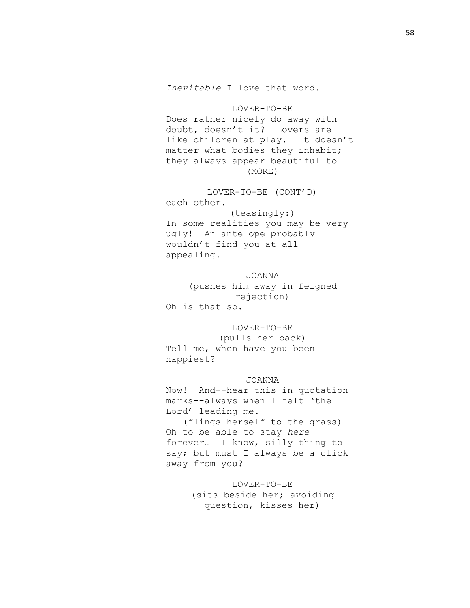LOVER-TO-BE Does rather nicely do away with doubt, doesn't it? Lovers are like children at play. It doesn't matter what bodies they inhabit; they always appear beautiful to (MORE)

LOVER-TO-BE (CONT'D) each other. (teasingly:) In some realities you may be very ugly! An antelope probably wouldn't find you at all appealing.

JOANNA (pushes him away in feigned rejection) Oh is that so.

LOVER-TO-BE (pulls her back) Tell me, when have you been happiest?

## JOANNA

Now! And--hear this in quotation marks--always when I felt 'the Lord' leading me. (flings herself to the grass) Oh to be able to stay *here*  forever… I know, silly thing to say; but must I always be a click away from you?

> LOVER-TO-BE (sits beside her; avoiding question, kisses her)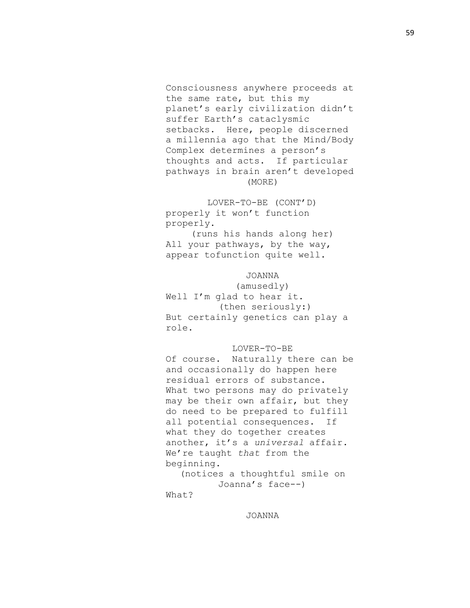Consciousness anywhere proceeds at the same rate, but this my planet's early civilization didn't suffer Earth's cataclysmic setbacks. Here, people discerned a millennia ago that the Mind/Body Complex determines a person's thoughts and acts. If particular pathways in brain aren't developed (MORE)

LOVER-TO-BE (CONT'D) properly it won't function properly.

(runs his hands along her) All your pathways, by the way, appear tofunction quite well.

JOANNA

(amusedly) Well I'm glad to hear it. (then seriously:) But certainly genetics can play a role.

## LOVER-TO-BE

Of course. Naturally there can be and occasionally do happen here residual errors of substance. What two persons may do privately may be their own affair, but they do need to be prepared to fulfill all potential consequences. If what they do together creates another, it's a *universal* affair. We're taught *that* from the beginning.

(notices a thoughtful smile on Joanna's face--)

What?

JOANNA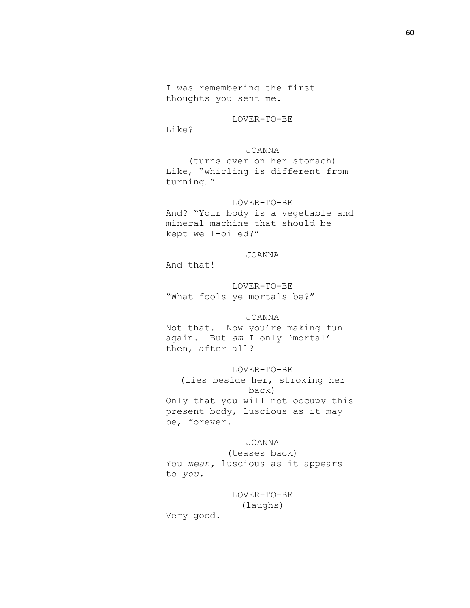I was remembering the first thoughts you sent me.

LOVER-TO-BE

Like?

# JOANNA

(turns over on her stomach) Like, "whirling is different from turning…"

# LOVER-TO-BE

And?—"Your body is a vegetable and mineral machine that should be kept well-oiled?"

# JOANNA

And that!

LOVER-TO-BE "What fools ye mortals be?"

JOANNA Not that. Now you're making fun again. But *am* I only 'mortal' then, after all?

# LOVER-TO-BE

(lies beside her, stroking her back) Only that you will not occupy this present body, luscious as it may be, forever.

JOANNA

(teases back) You *mean,* luscious as it appears to *you.*

LOVER-TO-BE

(laughs)

Very good.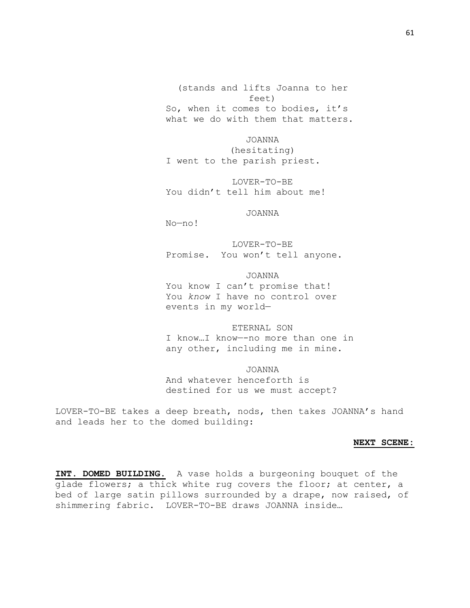(stands and lifts Joanna to her feet) So, when it comes to bodies, it's what we do with them that matters.

JOANNA (hesitating) I went to the parish priest.

LOVER-TO-BE You didn't tell him about me!

JOANNA

No—no!

LOVER-TO-BE Promise. You won't tell anyone.

JOANNA You know I can't promise that! You *know* I have no control over events in my world—

ETERNAL SON I know…I know—-no more than one in any other, including me in mine.

JOANNA And whatever henceforth is destined for us we must accept?

LOVER-TO-BE takes a deep breath, nods, then takes JOANNA's hand and leads her to the domed building:

## **NEXT SCENE:**

**INT. DOMED BUILDING.** A vase holds a burgeoning bouquet of the glade flowers; a thick white rug covers the floor; at center, a bed of large satin pillows surrounded by a drape, now raised, of shimmering fabric. LOVER-TO-BE draws JOANNA inside…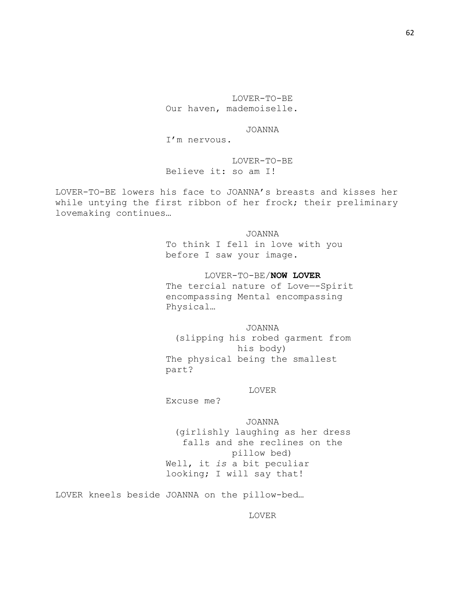LOVER-TO-BE Our haven, mademoiselle.

JOANNA

I'm nervous.

LOVER-TO-BE Believe it: so am I!

LOVER-TO-BE lowers his face to JOANNA's breasts and kisses her while untying the first ribbon of her frock; their preliminary lovemaking continues…

> JOANNA To think I fell in love with you before I saw your image.

LOVER-TO-BE/**NOW LOVER** The tercial nature of Love—-Spirit encompassing Mental encompassing Physical…

JOANNA (slipping his robed garment from his body) The physical being the smallest part?

## LOVER

Excuse me?

JOANNA (girlishly laughing as her dress falls and she reclines on the pillow bed) Well, it *is* a bit peculiar looking; I will say that!

LOVER kneels beside JOANNA on the pillow-bed…

LOVER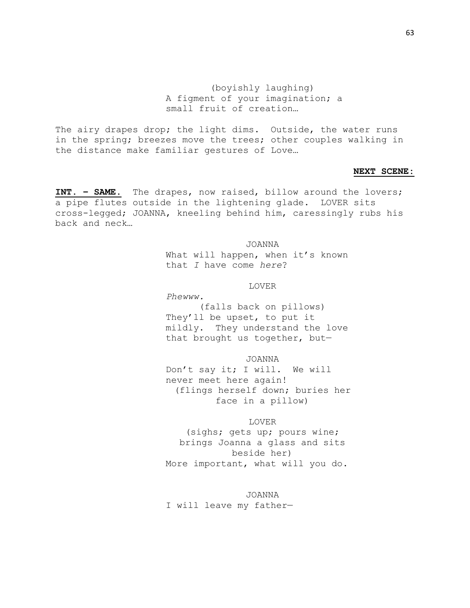(boyishly laughing) A figment of your imagination; a small fruit of creation…

The airy drapes drop; the light dims. Outside, the water runs in the spring; breezes move the trees; other couples walking in the distance make familiar gestures of Love…

#### **NEXT SCENE:**

**INT. – SAME.** The drapes, now raised, billow around the lovers; a pipe flutes outside in the lightening glade. LOVER sits cross-legged; JOANNA, kneeling behind him, caressingly rubs his back and neck…

> JOANNA What will happen, when it's known that *I* have come *here*?

## LOVER

*Phewww.* (falls back on pillows) They'll be upset, to put it mildly. They understand the love that brought us together, but—

JOANNA Don't say it; I will. We will never meet here again! (flings herself down; buries her face in a pillow)

## LOVER

(sighs; gets up; pours wine; brings Joanna a glass and sits beside her) More important, what will you do.

JOANNA I will leave my father—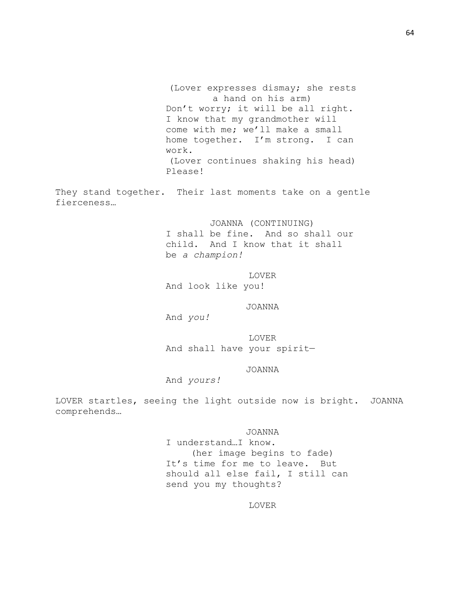(Lover expresses dismay; she rests a hand on his arm) Don't worry; it will be all right. I know that my grandmother will come with me; we'll make a small home together. I'm strong. I can work. (Lover continues shaking his head) Please!

They stand together. Their last moments take on a gentle fierceness…

> JOANNA (CONTINUING) I shall be fine. And so shall our child. And I know that it shall be *a champion!*

LOVER And look like you!

JOANNA

And *you!*

LOVER And shall have your spirit—

# JOANNA

And *yours!*

LOVER startles, seeing the light outside now is bright. JOANNA comprehends…

> JOANNA I understand…I know. (her image begins to fade) It's time for me to leave. But should all else fail, I still can send you my thoughts?

> > LOVER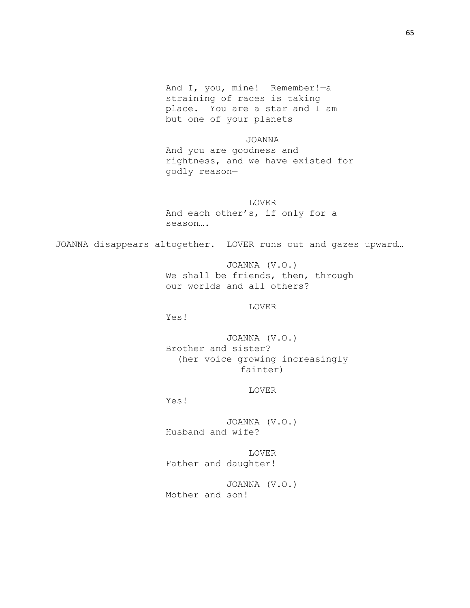And I, you, mine! Remember!—a straining of races is taking place. You are a star and I am but one of your planets—

JOANNA And you are goodness and rightness, and we have existed for godly reason—

LOVER And each other's, if only for a season….

JOANNA disappears altogether. LOVER runs out and gazes upward…

JOANNA (V.O.) We shall be friends, then, through our worlds and all others?

LOVER

Yes!

JOANNA (V.O.) Brother and sister? (her voice growing increasingly fainter)

LOVER

Yes!

JOANNA (V.O.) Husband and wife?

LOVER Father and daughter!

JOANNA (V.O.) Mother and son!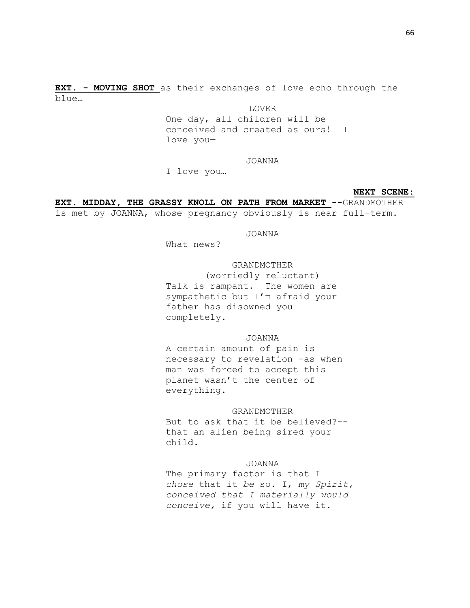**EXT. - MOVING SHOT** as their exchanges of love echo through the blue…

LOVER

One day, all children will be conceived and created as ours! I love you—

## JOANNA

I love you…

#### **NEXT SCENE:**

**EXT. MIDDAY, THE GRASSY KNOLL ON PATH FROM MARKET --**GRANDMOTHER

is met by JOANNA, whose pregnancy obviously is near full-term.

## JOANNA

What news?

## GRANDMOTHER

(worriedly reluctant) Talk is rampant. The women are sympathetic but I'm afraid your father has disowned you completely.

## JOANNA

A certain amount of pain is necessary to revelation—-as when man was forced to accept this planet wasn't the center of everything.

## GRANDMOTHER

But to ask that it be believed?- that an alien being sired your child.

## JOANNA

The primary factor is that I *chose* that it *be* so. I, *my Spirit, conceived that I materially would conceive,* if you will have it.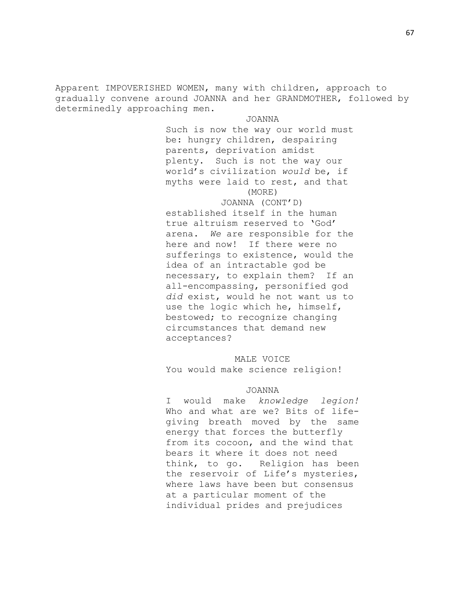Apparent IMPOVERISHED WOMEN, many with children, approach to gradually convene around JOANNA and her GRANDMOTHER, followed by determinedly approaching men.

> JOANNA Such is now the way our world must be: hungry children, despairing parents, deprivation amidst plenty. Such is not the way our world's civilization *would* be, if myths were laid to rest, and that (MORE)

# JOANNA (CONT'D)

established itself in the human true altruism reserved to 'God' arena. *We* are responsible for the here and now! If there were no sufferings to existence, would the idea of an intractable god be necessary, to explain them? If an all-encompassing, personified god *did* exist, would he not want us to use the logic which he, himself, bestowed; to recognize changing circumstances that demand new acceptances?

# MALE VOICE

You would make science religion!

## JOANNA

I would make *knowledge legion!*  Who and what are we? Bits of lifegiving breath moved by the same energy that forces the butterfly from its cocoon, and the wind that bears it where it does not need think, to go. Religion has been the reservoir of Life's mysteries, where laws have been but consensus at a particular moment of the individual prides and prejudices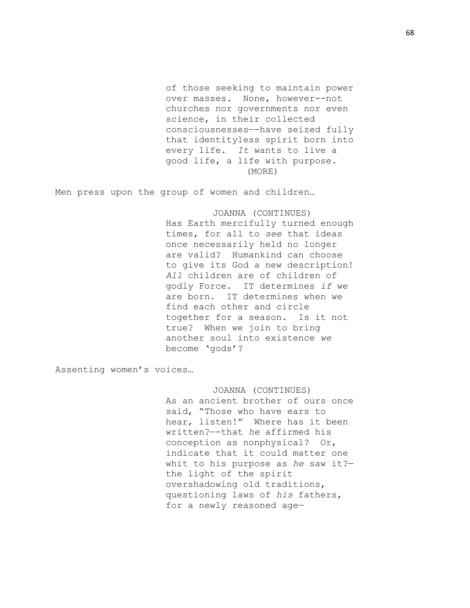of those seeking to maintain power over masses. None, however--not churches nor governments nor even science, in their collected consciousnesses—-have seized fully that identityless spirit born into every life. *It* wants to live a good life, a life with purpose. (MORE)

Men press upon the group of women and children…

JOANNA (CONTINUES) Has Earth mercifully turned enough times, for all to *see* that ideas once necessarily held no longer are valid? Humankind can choose to give its God a new description! *All* children are of children of godly Force. IT determines *if* we are born. IT determines when we find each other and circle together for a season. Is it not true? When we join to bring another soul into existence *we*  become 'gods'?

Assenting women's voices…

JOANNA (CONTINUES) As an ancient brother of ours once said, "Those who have ears to hear, listen!" Where has it been written?—-that *he* affirmed his conception as nonphysical? Or, indicate that it could matter one whit to his purpose as *he* saw it? the light of the spirit overshadowing old traditions, questioning laws of *his* fathers, for a newly reasoned age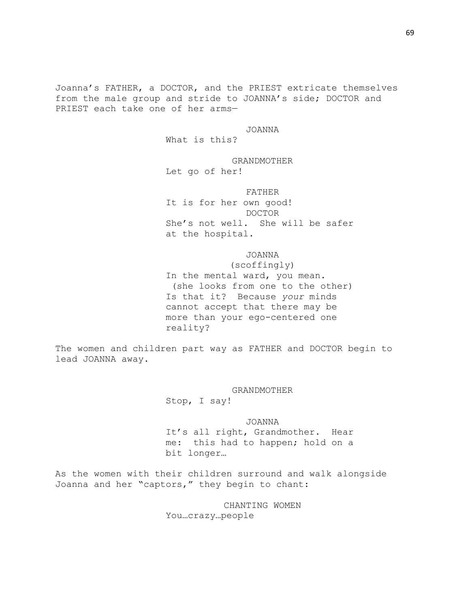Joanna's FATHER, a DOCTOR, and the PRIEST extricate themselves from the male group and stride to JOANNA's side; DOCTOR and PRIEST each take one of her arms—

## JOANNA

What is this?

# GRANDMOTHER

Let go of her!

## FATHER

It is for her own good! DOCTOR She's not well. She will be safer at the hospital.

# JOANNA

(scoffingly) In the mental ward, you mean. (she looks from one to the other) Is that it? Because *your* minds cannot accept that there may be more than your ego-centered one reality?

The women and children part way as FATHER and DOCTOR begin to lead JOANNA away.

> GRANDMOTHER Stop, I say!

# JOANNA

It's all right, Grandmother. Hear me: this had to happen; hold on a bit longer…

As the women with their children surround and walk alongside Joanna and her "captors," they begin to chant:

> CHANTING WOMEN You…crazy…people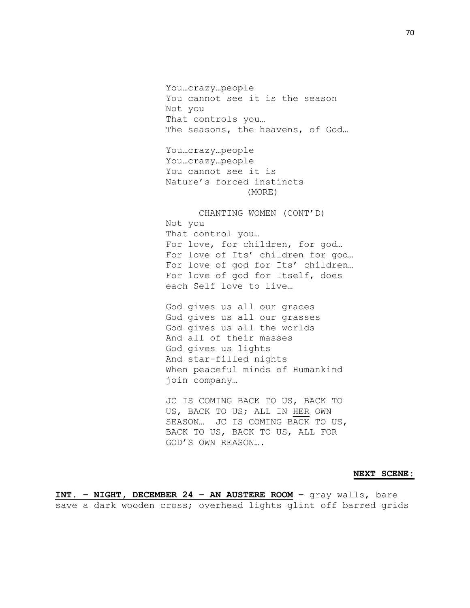You…crazy…people You cannot see it is the season Not you That controls you… The seasons, the heavens, of God… You…crazy…people You…crazy…people You cannot see it is

Nature's forced instincts (MORE)

CHANTING WOMEN (CONT'D) Not you That control you… For love, for children, for god… For love of Its' children for god… For love of god for Its' children… For love of god for Itself, does each Self love to live…

God gives us all our graces God gives us all our grasses God gives us all the worlds And all of their masses God gives us lights And star-filled nights When peaceful minds of Humankind join company…

JC IS COMING BACK TO US, BACK TO US, BACK TO US; ALL IN HER OWN SEASON… JC IS COMING BACK TO US, BACK TO US, BACK TO US, ALL FOR GOD'S OWN REASON….

### **NEXT SCENE:**

**INT. – NIGHT, DECEMBER 24 – AN AUSTERE ROOM –** gray walls, bare save a dark wooden cross; overhead lights glint off barred grids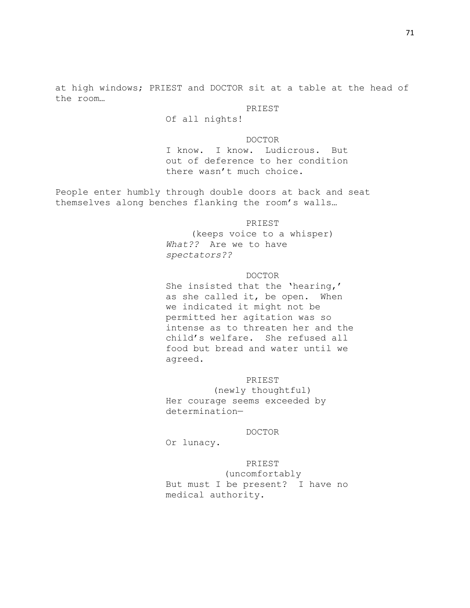at high windows; PRIEST and DOCTOR sit at a table at the head of the room…

PRIEST

Of all nights!

DOCTOR I know. I know. Ludicrous. But out of deference to her condition there wasn't much choice.

People enter humbly through double doors at back and seat themselves along benches flanking the room's walls…

PRIEST

(keeps voice to a whisper) *What??* Are we to have *spectators??*

## DOCTOR

She insisted that the 'hearing,' as she called it, be open. When we indicated it might not be permitted her agitation was so intense as to threaten her and the child's welfare. She refused all food but bread and water until we agreed.

# PRIEST

(newly thoughtful) Her courage seems exceeded by determination—

## DOCTOR

Or lunacy.

#### PRIEST

(uncomfortably But must I be present? I have no medical authority.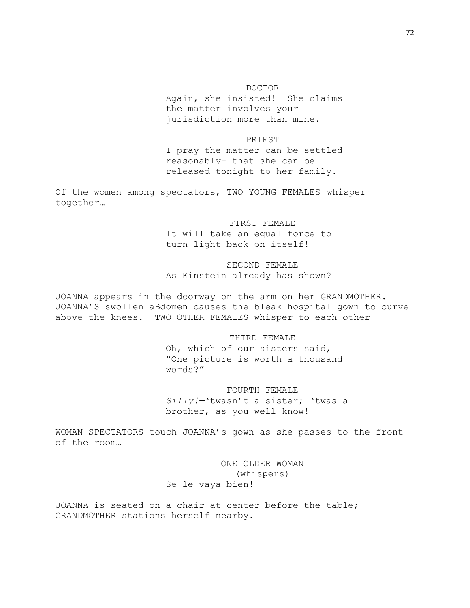DOCTOR

Again, she insisted! She claims the matter involves your jurisdiction more than mine.

#### PRIEST

I pray the matter can be settled reasonably-—that she can be released tonight to her family.

Of the women among spectators, TWO YOUNG FEMALES whisper together…

> FIRST FEMALE It will take an equal force to turn light back on itself!

# SECOND FEMALE As Einstein already has shown?

JOANNA appears in the doorway on the arm on her GRANDMOTHER. JOANNA'S swollen aBdomen causes the bleak hospital gown to curve above the knees. TWO OTHER FEMALES whisper to each other—

# THIRD FEMALE

Oh, which of our sisters said, "One picture is worth a thousand words?"

#### FOURTH FEMALE

*Silly!—*'twasn't a sister; 'twas a brother, as you well know!

WOMAN SPECTATORS touch JOANNA's gown as she passes to the front of the room…

> ONE OLDER WOMAN (whispers) Se le vaya bien!

JOANNA is seated on a chair at center before the table; GRANDMOTHER stations herself nearby.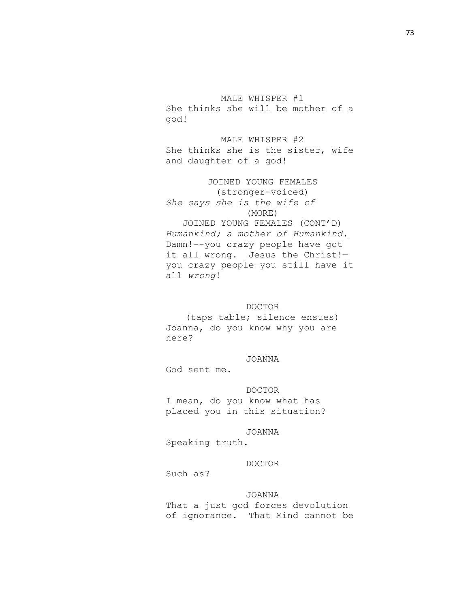MALE WHISPER #1 She thinks she will be mother of a god!

MALE WHISPER #2 She thinks she is the sister, wife and daughter of a god!

JOINED YOUNG FEMALES (stronger-voiced) *She says she is the wife of* (MORE) JOINED YOUNG FEMALES (CONT'D) *Humankind; a mother of Humankind.*  Damn!--you crazy people have got it all wrong. Jesus the Christ!you crazy people—you still have it all *wrong*!

## DOCTOR

(taps table; silence ensues) Joanna, do you know why you are here?

## JOANNA

God sent me.

DOCTOR I mean, do you know what has placed you in this situation?

#### JOANNA

Speaking truth.

### DOCTOR

Such as?

### JOANNA

That a just god forces devolution of ignorance. That Mind cannot be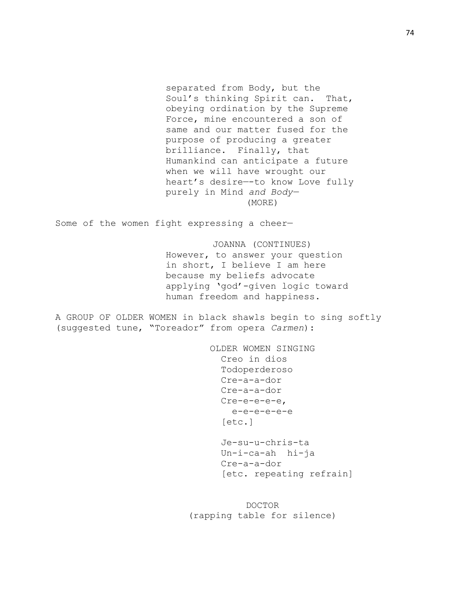separated from Body, but the Soul's thinking Spirit can. That, obeying ordination by the Supreme Force, mine encountered a son of same and our matter fused for the purpose of producing a greater brilliance. Finally, that Humankind can anticipate a future when we will have wrought our heart's desire—-to know Love fully purely in Mind *and Body—* (MORE)

Some of the women fight expressing a cheer—

JOANNA (CONTINUES) However, to answer your question in short, I believe I am here because my beliefs advocate applying 'god'-given logic toward human freedom and happiness.

A GROUP OF OLDER WOMEN in black shawls begin to sing softly (suggested tune, "Toreador" from opera *Carmen*):

> OLDER WOMEN SINGING Creo in dios Todoperderoso Cre-a-a-dor Cre-a-a-dor Cre-e-e-e-e, e-e-e-e-e-e [etc.] Je-su-u-chris-ta Un-i-ca-ah hi-ja Cre-a-a-dor [etc. repeating refrain]

DOCTOR (rapping table for silence)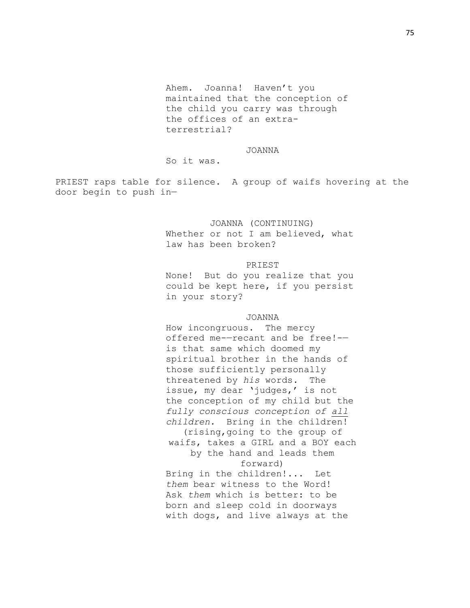Ahem. Joanna! Haven't you maintained that the conception of the child you carry was through the offices of an extraterrestrial?

#### JOANNA

So it was.

PRIEST raps table for silence. A group of waifs hovering at the door begin to push in—

# JOANNA (CONTINUING) Whether or not I am believed, what law has been broken?

### PRIEST

None! But do you realize that you could be kept here, if you persist in your story?

## JOANNA

How incongruous. The mercy offered me-—recant and be free!- is that same which doomed my spiritual brother in the hands of those sufficiently personally threatened by *his* words. The issue, my dear 'judges,' is not the conception of my child but the *fully conscious conception of all children.* Bring in the children! (rising,going to the group of waifs, takes a GIRL and a BOY each by the hand and leads them forward) Bring in the children!... Let *them* bear witness to the Word! Ask *them* which is better: to be born and sleep cold in doorways with dogs, and live always at the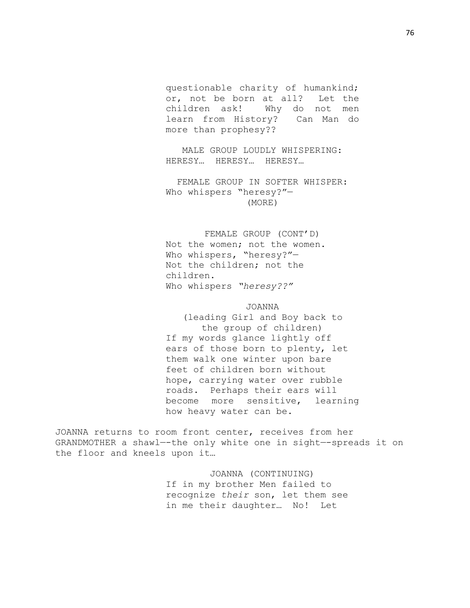questionable charity of humankind; or, not be born at all? Let the children ask! Why do not men learn from History? Can Man do more than prophesy??

MALE GROUP LOUDLY WHISPERING: HERESY… HERESY… HERESY…

FEMALE GROUP IN SOFTER WHISPER: Who whispers "heresy?"— (MORE)

FEMALE GROUP (CONT'D) Not the women; not the women. Who whispers, "heresy?"— Not the children; not the children. Who whispers *"heresy??"*

#### JOANNA

(leading Girl and Boy back to the group of children) If my words glance lightly off ears of those born to plenty, let them walk one winter upon bare feet of children born without hope, carrying water over rubble roads. Perhaps their ears will become more sensitive, learning how heavy water can be.

JOANNA returns to room front center, receives from her GRANDMOTHER a shawl—-the only white one in sight—-spreads it on the floor and kneels upon it…

> JOANNA (CONTINUING) If in my brother Men failed to recognize *their* son, let them see in me their daughter… No! Let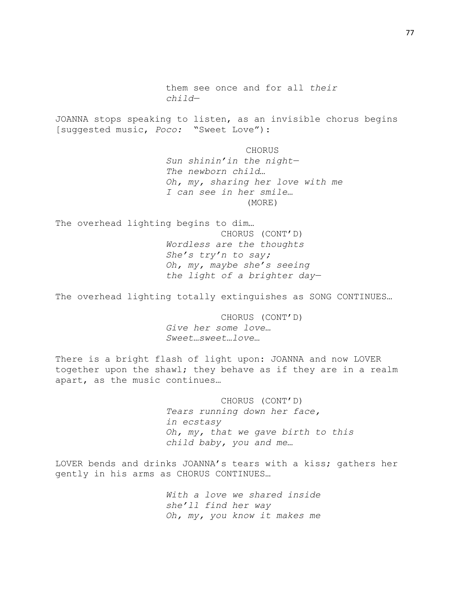them see once and for all *their child—* JOANNA stops speaking to listen, as an invisible chorus begins [suggested music, *Poco:* "Sweet Love"): **CHORUS** *Sun shinin'in the night— The newborn child… Oh, my, sharing her love with me I can see in her smile…* (MORE) The overhead lighting begins to dim… CHORUS (CONT'D) *Wordless are the thoughts She's try'n to say; Oh, my, maybe she's seeing the light of a brighter day—* The overhead lighting totally extinguishes as SONG CONTINUES…

CHORUS (CONT'D) *Give her some love… Sweet…sweet…love…*

There is a bright flash of light upon: JOANNA and now LOVER together upon the shawl; they behave as if they are in a realm apart, as the music continues…

> CHORUS (CONT'D) *Tears running down her face, in ecstasy Oh, my, that we gave birth to this child baby, you and me…*

LOVER bends and drinks JOANNA's tears with a kiss; gathers her gently in his arms as CHORUS CONTINUES…

> *With a love we shared inside she'll find her way Oh, my, you know it makes me*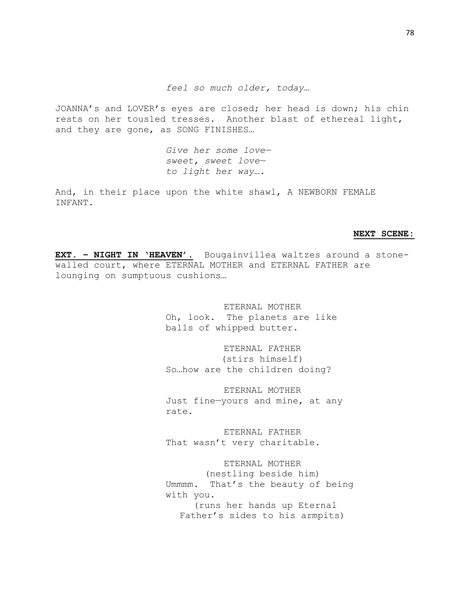*feel so much older, today…*

JOANNA's and LOVER's eyes are closed; her head is down; his chin rests on her tousled tresses. Another blast of ethereal light, and they are gone, as SONG FINISHES…

> *Give her some love sweet, sweet love to light her way….*

And, in their place upon the white shawl, A NEWBORN FEMALE INFANT.

#### **NEXT SCENE:**

**EXT. – NIGHT IN 'HEAVEN'.** Bougainvillea waltzes around a stonewalled court, where ETERNAL MOTHER and ETERNAL FATHER are lounging on sumptuous cushions…

> ETERNAL MOTHER Oh, look. The planets are like balls of whipped butter.

ETERNAL FATHER (stirs himself) So…how are the children doing?

ETERNAL MOTHER Just fine—yours and mine, at any rate.

ETERNAL FATHER That wasn't very charitable.

ETERNAL MOTHER (nestling beside him) Ummmm. That's the beauty of being with you. (runs her hands up Eternal Father's sides to his armpits)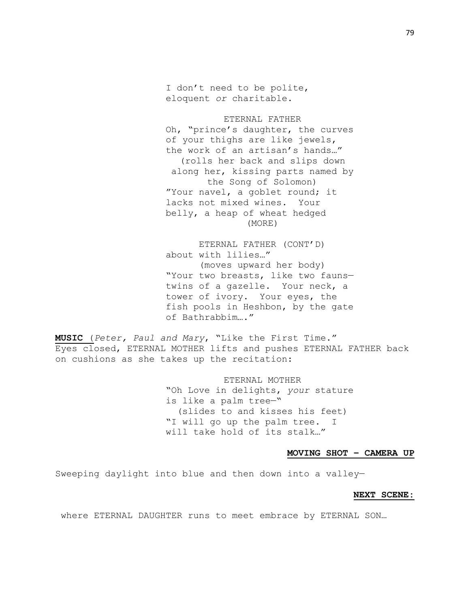I don't need to be polite, eloquent *or* charitable.

ETERNAL FATHER Oh, "prince's daughter, the curves of your thighs are like jewels, the work of an artisan's hands…" (rolls her back and slips down along her, kissing parts named by the Song of Solomon) "Your navel, a goblet round; it lacks not mixed wines. Your belly, a heap of wheat hedged (MORE)

ETERNAL FATHER (CONT'D) about with lilies…" (moves upward her body) "Your two breasts, like two fauns twins of a gazelle. Your neck, a tower of ivory. Your eyes, the fish pools in Heshbon, by the gate of Bathrabbim…."

**MUSIC** (*Peter, Paul and Mary*, "Like the First Time." Eyes closed, ETERNAL MOTHER lifts and pushes ETERNAL FATHER back on cushions as she takes up the recitation:

> ETERNAL MOTHER "Oh Love in delights, *your* stature is like a palm tree—" (slides to and kisses his feet) "I will go up the palm tree. I will take hold of its stalk…"

### **MOVING SHOT – CAMERA UP**

Sweeping daylight into blue and then down into a valley—

#### **NEXT SCENE:**

where ETERNAL DAUGHTER runs to meet embrace by ETERNAL SON…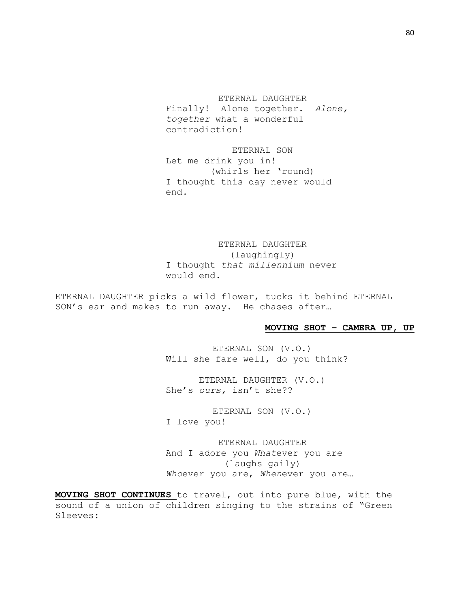ETERNAL DAUGHTER Finally! Alone together. *Alone, together—*what a wonderful contradiction!

ETERNAL SON Let me drink you in! (whirls her 'round) I thought this day never would end.

ETERNAL DAUGHTER (laughingly) I thought *that millennium* never would end.

ETERNAL DAUGHTER picks a wild flower, tucks it behind ETERNAL SON's ear and makes to run away. He chases after…

## **MOVING SHOT – CAMERA UP, UP**

ETERNAL SON (V.O.) Will she fare well, do you think?

ETERNAL DAUGHTER (V.O.) She's *ours,* isn't she??

ETERNAL SON (V.O.) I love you!

ETERNAL DAUGHTER And I adore you—*What*ever you are (laughs gaily) *Who*ever you are, *When*ever you are…

**MOVING SHOT CONTINUES** to travel, out into pure blue, with the sound of a union of children singing to the strains of "Green Sleeves: